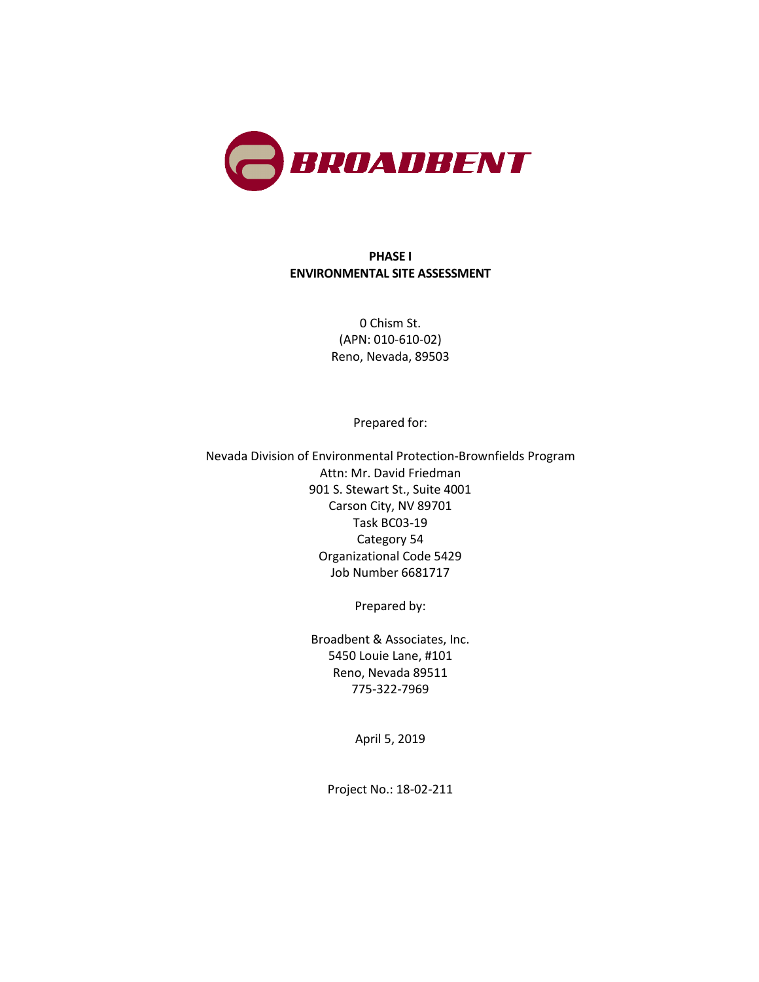

#### **PHASE I ENVIRONMENTAL SITE ASSESSMENT**

0 Chism St. (APN: 010-610-02) Reno, Nevada, 89503

Prepared for:

Nevada Division of Environmental Protection-Brownfields Program Attn: Mr. David Friedman 901 S. Stewart St., Suite 4001 Carson City, NV 89701 Task BC03-19 Category 54 Organizational Code 5429 Job Number 6681717

Prepared by:

Broadbent & Associates, Inc. 5450 Louie Lane, #101 Reno, Nevada 89511 775-322-7969

April 5, 2019

Project No.: 18-02-211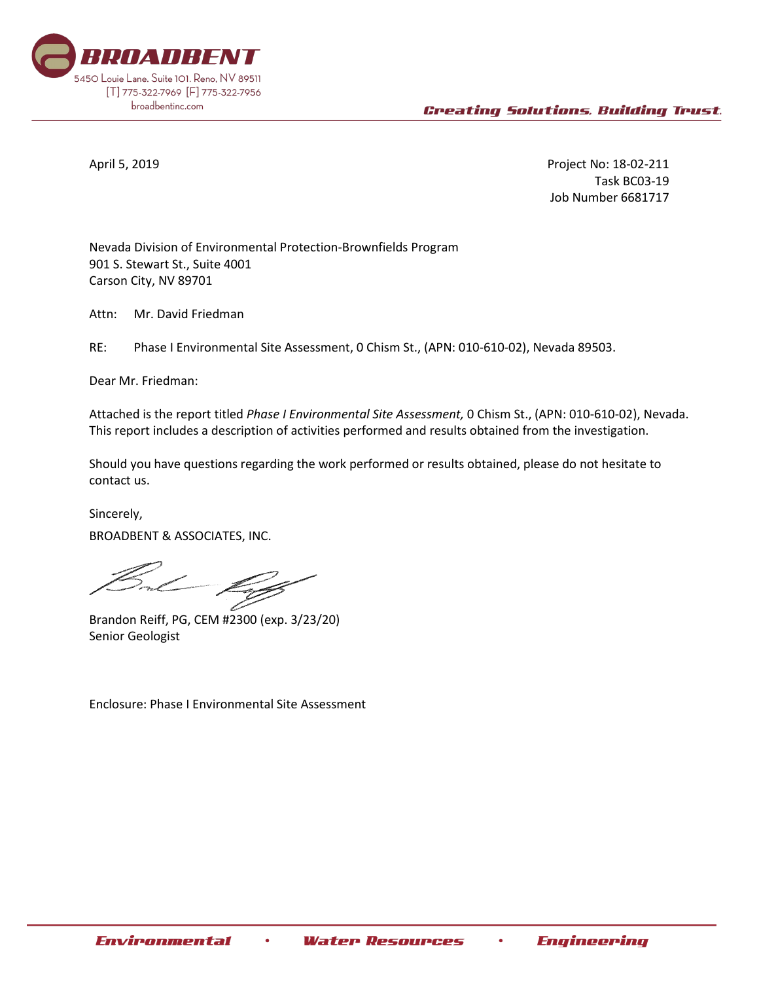

April 5, 2019 Project No: 18-02-211 Task BC03-19 Job Number 6681717

Nevada Division of Environmental Protection-Brownfields Program 901 S. Stewart St., Suite 4001 Carson City, NV 89701

Attn: Mr. David Friedman

RE: Phase I Environmental Site Assessment, 0 Chism St., (APN: 010-610-02), Nevada 89503.

Dear Mr. Friedman:

Attached is the report titled *Phase I Environmental Site Assessment,* 0 Chism St., (APN: 010-610-02), Nevada. This report includes a description of activities performed and results obtained from the investigation.

Should you have questions regarding the work performed or results obtained, please do not hesitate to contact us.

Sincerely, BROADBENT & ASSOCIATES, INC.

Brandon Reiff, PG, CEM #2300 (exp. 3/23/20) Senior Geologist

Enclosure: Phase I Environmental Site Assessment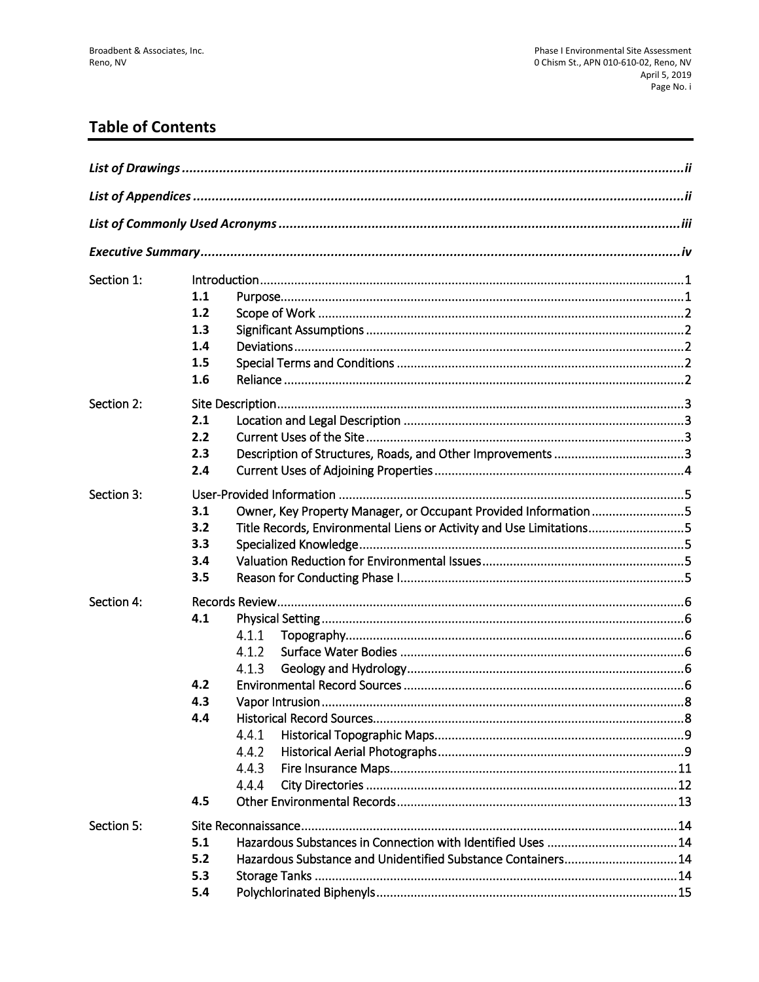# **Table of Contents**

| Section 1: | 1.1<br>1.2<br>1.3<br>1.4<br>1.5<br>1.6                                                                                                                                    |
|------------|---------------------------------------------------------------------------------------------------------------------------------------------------------------------------|
| Section 2: | 2.1<br>2.2<br>2.3<br>2.4                                                                                                                                                  |
| Section 3: | Owner, Key Property Manager, or Occupant Provided Information 5<br>3.1<br>Title Records, Environmental Liens or Activity and Use Limitations5<br>3.2<br>3.3<br>3.4<br>3.5 |
| Section 4: | 4.1<br>4.1.1<br>4.1.2<br>4.1.3<br>4.2<br>4.3<br>4.4<br>4.4.1<br>4.4.2<br>4.4.3<br>4.4.4<br>4.5                                                                            |
| Section 5: | 5.1<br>5.2<br>Hazardous Substance and Unidentified Substance Containers14<br>5.3<br>5.4                                                                                   |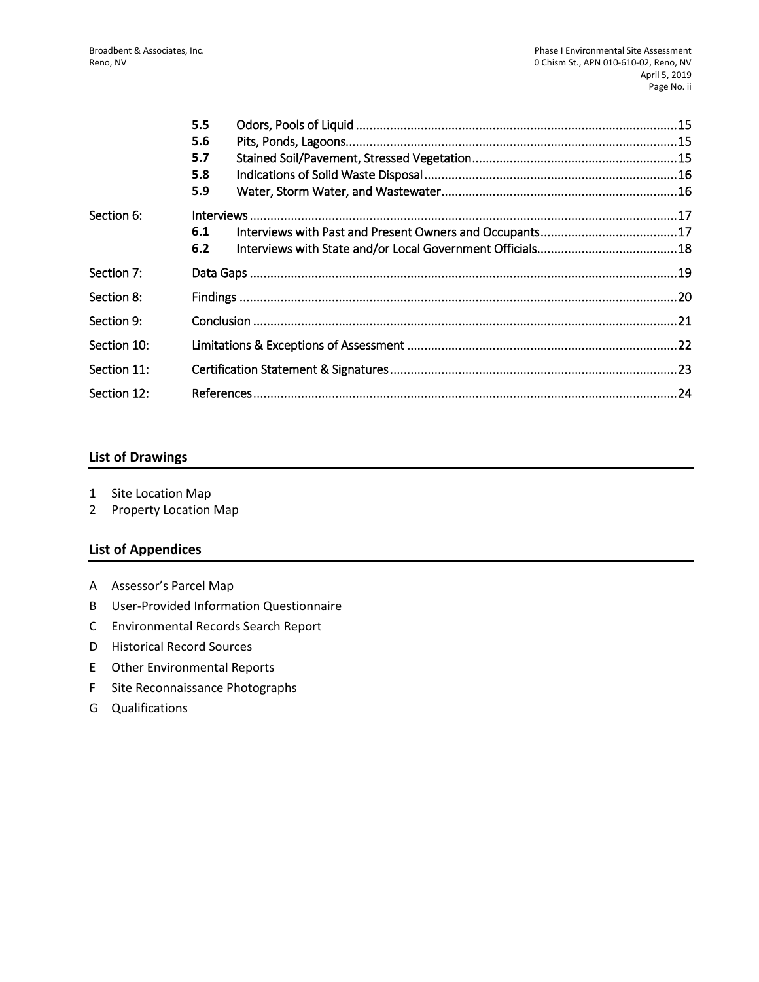|             | 5.5 |  |
|-------------|-----|--|
|             | 5.6 |  |
|             | 5.7 |  |
|             | 5.8 |  |
|             | 5.9 |  |
| Section 6:  |     |  |
|             | 6.1 |  |
|             | 6.2 |  |
| Section 7:  |     |  |
| Section 8:  |     |  |
| Section 9:  |     |  |
| Section 10: |     |  |
| Section 11: |     |  |
| Section 12: |     |  |

#### **List of Drawings**

- 1 Site Location Map
- 2 Property Location Map

## **List of Appendices**

- A Assessor's Parcel Map
- B User-Provided Information Questionnaire
- C Environmental Records Search Report
- D Historical Record Sources
- E Other Environmental Reports
- F Site Reconnaissance Photographs
- G Qualifications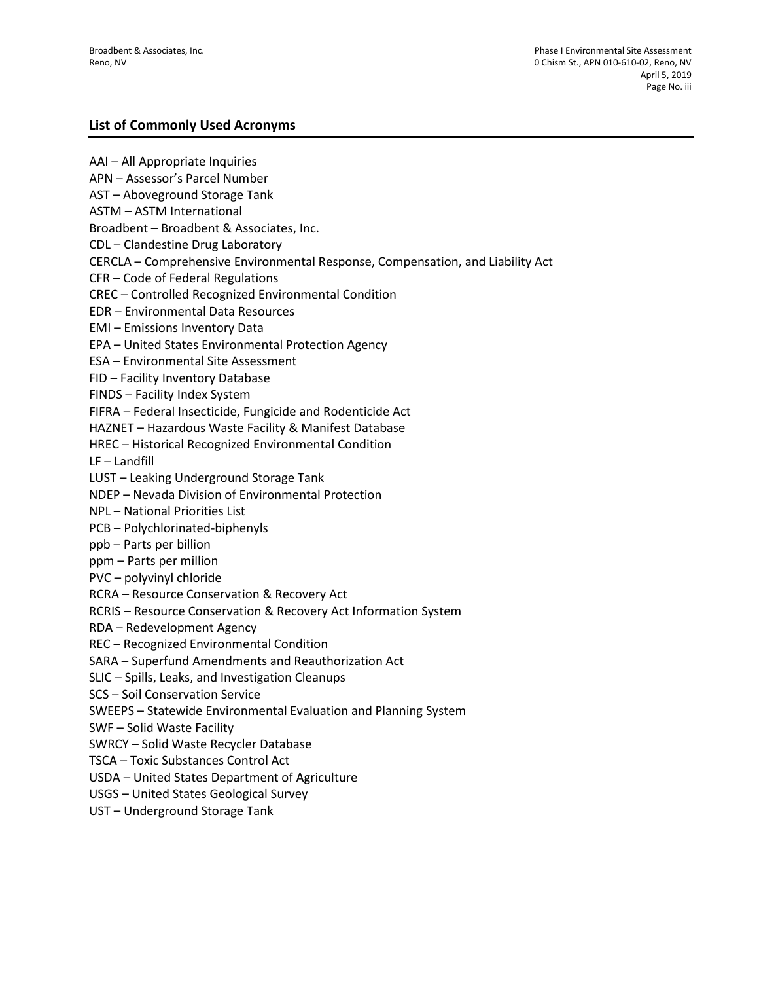#### **List of Commonly Used Acronyms**

AAI – All Appropriate Inquiries APN – Assessor's Parcel Number AST – Aboveground Storage Tank ASTM – ASTM International Broadbent – Broadbent & Associates, Inc. CDL – Clandestine Drug Laboratory CERCLA – Comprehensive Environmental Response, Compensation, and Liability Act CFR – Code of Federal Regulations CREC – Controlled Recognized Environmental Condition EDR – Environmental Data Resources EMI – Emissions Inventory Data EPA – United States Environmental Protection Agency ESA – Environmental Site Assessment FID – Facility Inventory Database FINDS – Facility Index System FIFRA – Federal Insecticide, Fungicide and Rodenticide Act HAZNET – Hazardous Waste Facility & Manifest Database HREC – Historical Recognized Environmental Condition LF – Landfill LUST – Leaking Underground Storage Tank NDEP – Nevada Division of Environmental Protection NPL – National Priorities List PCB – Polychlorinated-biphenyls ppb – Parts per billion ppm – Parts per million PVC – polyvinyl chloride RCRA – Resource Conservation & Recovery Act RCRIS – Resource Conservation & Recovery Act Information System RDA – Redevelopment Agency REC – Recognized Environmental Condition SARA – Superfund Amendments and Reauthorization Act SLIC – Spills, Leaks, and Investigation Cleanups SCS – Soil Conservation Service SWEEPS – Statewide Environmental Evaluation and Planning System SWF – Solid Waste Facility SWRCY – Solid Waste Recycler Database TSCA – Toxic Substances Control Act USDA – United States Department of Agriculture USGS – United States Geological Survey UST – Underground Storage Tank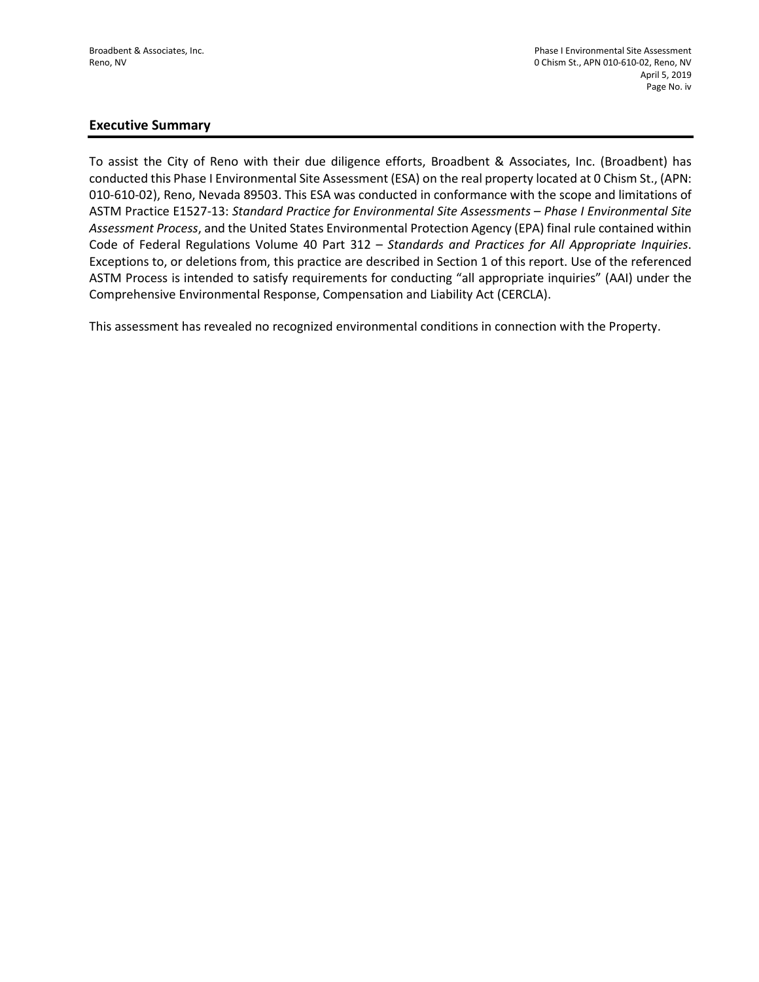#### **Executive Summary**

To assist the City of Reno with their due diligence efforts, Broadbent & Associates, Inc. (Broadbent) has conducted this Phase I Environmental Site Assessment (ESA) on the real property located at 0 Chism St., (APN: 010-610-02), Reno, Nevada 89503. This ESA was conducted in conformance with the scope and limitations of ASTM Practice E1527-13: *Standard Practice for Environmental Site Assessments – Phase I Environmental Site Assessment Process*, and the United States Environmental Protection Agency (EPA) final rule contained within Code of Federal Regulations Volume 40 Part 312 – *Standards and Practices for All Appropriate Inquiries*. Exceptions to, or deletions from, this practice are described in Section 1 of this report. Use of the referenced ASTM Process is intended to satisfy requirements for conducting "all appropriate inquiries" (AAI) under the Comprehensive Environmental Response, Compensation and Liability Act (CERCLA).

This assessment has revealed no recognized environmental conditions in connection with the Property.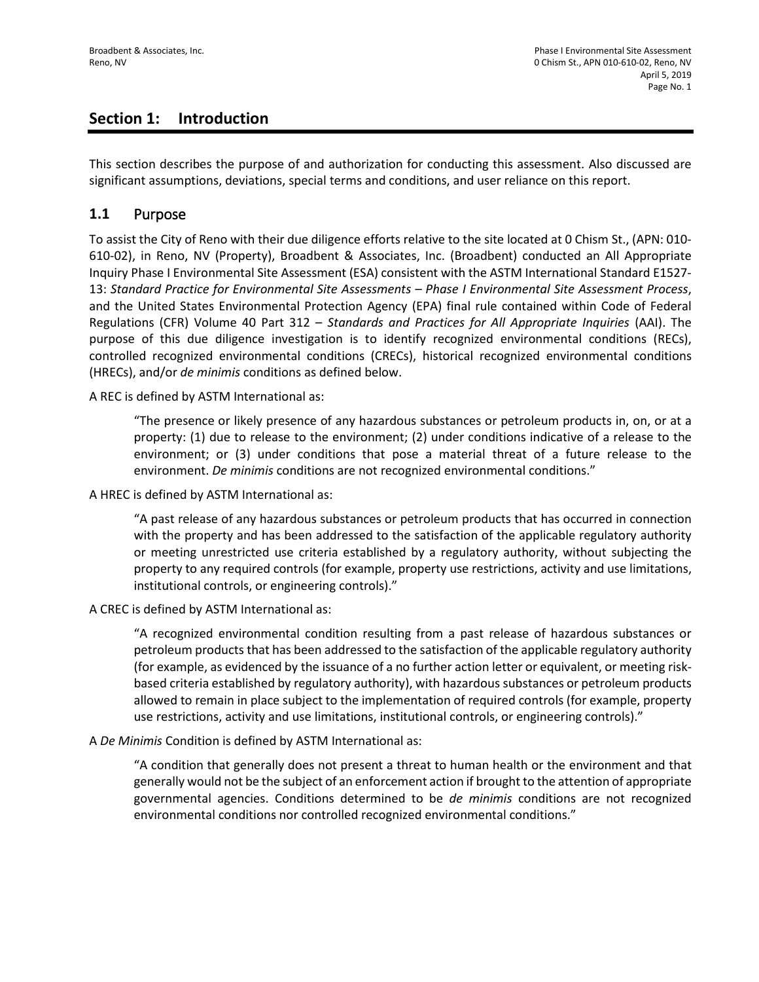# **Section 1: Introduction**

This section describes the purpose of and authorization for conducting this assessment. Also discussed are significant assumptions, deviations, special terms and conditions, and user reliance on this report.

## **1.1** Purpose

To assist the City of Reno with their due diligence efforts relative to the site located at 0 Chism St., (APN: 010- 610-02), in Reno, NV (Property), Broadbent & Associates, Inc. (Broadbent) conducted an All Appropriate Inquiry Phase I Environmental Site Assessment (ESA) consistent with the ASTM International Standard E1527- 13: *Standard Practice for Environmental Site Assessments – Phase I Environmental Site Assessment Process*, and the United States Environmental Protection Agency (EPA) final rule contained within Code of Federal Regulations (CFR) Volume 40 Part 312 – *Standards and Practices for All Appropriate Inquiries* (AAI). The purpose of this due diligence investigation is to identify recognized environmental conditions (RECs), controlled recognized environmental conditions (CRECs), historical recognized environmental conditions (HRECs), and/or *de minimis* conditions as defined below.

A REC is defined by ASTM International as:

"The presence or likely presence of any hazardous substances or petroleum products in, on, or at a property: (1) due to release to the environment; (2) under conditions indicative of a release to the environment; or (3) under conditions that pose a material threat of a future release to the environment. *De minimis* conditions are not recognized environmental conditions."

A HREC is defined by ASTM International as:

"A past release of any hazardous substances or petroleum products that has occurred in connection with the property and has been addressed to the satisfaction of the applicable regulatory authority or meeting unrestricted use criteria established by a regulatory authority, without subjecting the property to any required controls (for example, property use restrictions, activity and use limitations, institutional controls, or engineering controls)."

A CREC is defined by ASTM International as:

"A recognized environmental condition resulting from a past release of hazardous substances or petroleum products that has been addressed to the satisfaction of the applicable regulatory authority (for example, as evidenced by the issuance of a no further action letter or equivalent, or meeting riskbased criteria established by regulatory authority), with hazardous substances or petroleum products allowed to remain in place subject to the implementation of required controls (for example, property use restrictions, activity and use limitations, institutional controls, or engineering controls)."

A *De Minimis* Condition is defined by ASTM International as:

"A condition that generally does not present a threat to human health or the environment and that generally would not be the subject of an enforcement action if brought to the attention of appropriate governmental agencies. Conditions determined to be *de minimis* conditions are not recognized environmental conditions nor controlled recognized environmental conditions."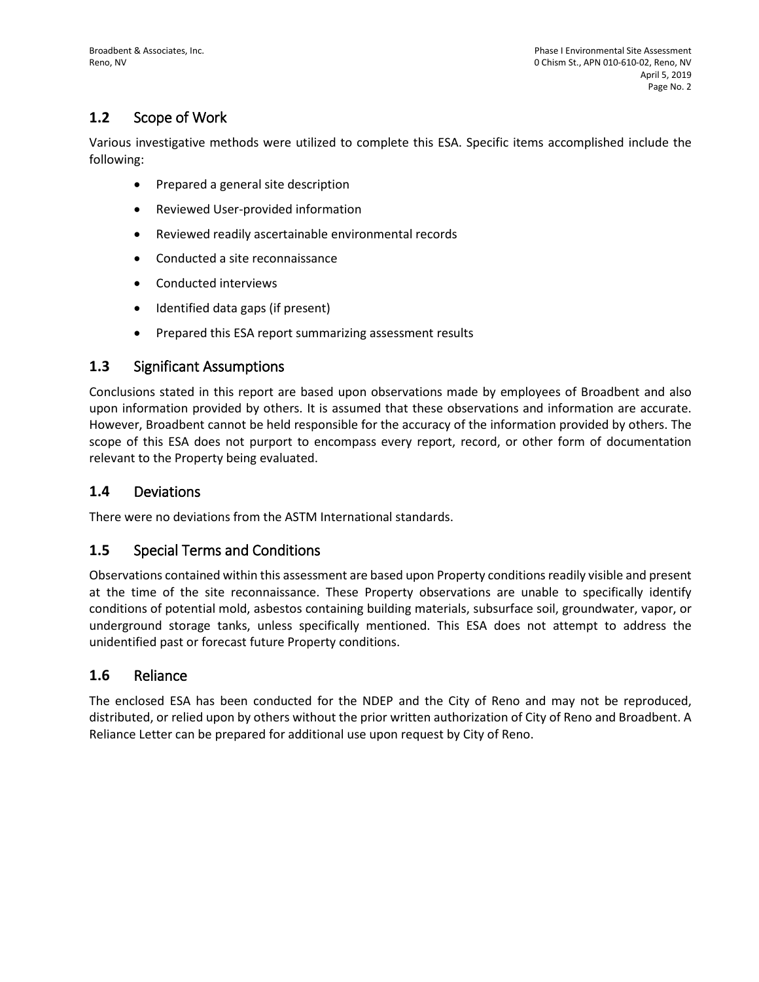# **1.2** Scope of Work

Various investigative methods were utilized to complete this ESA. Specific items accomplished include the following:

- Prepared a general site description
- Reviewed User-provided information
- Reviewed readily ascertainable environmental records
- Conducted a site reconnaissance
- Conducted interviews
- Identified data gaps (if present)
- Prepared this ESA report summarizing assessment results

## **1.3** Significant Assumptions

Conclusions stated in this report are based upon observations made by employees of Broadbent and also upon information provided by others. It is assumed that these observations and information are accurate. However, Broadbent cannot be held responsible for the accuracy of the information provided by others. The scope of this ESA does not purport to encompass every report, record, or other form of documentation relevant to the Property being evaluated.

## **1.4** Deviations

There were no deviations from the ASTM International standards.

## **1.5** Special Terms and Conditions

Observations contained within this assessment are based upon Property conditions readily visible and present at the time of the site reconnaissance. These Property observations are unable to specifically identify conditions of potential mold, asbestos containing building materials, subsurface soil, groundwater, vapor, or underground storage tanks, unless specifically mentioned. This ESA does not attempt to address the unidentified past or forecast future Property conditions.

## **1.6** Reliance

The enclosed ESA has been conducted for the NDEP and the City of Reno and may not be reproduced, distributed, or relied upon by others without the prior written authorization of City of Reno and Broadbent. A Reliance Letter can be prepared for additional use upon request by City of Reno.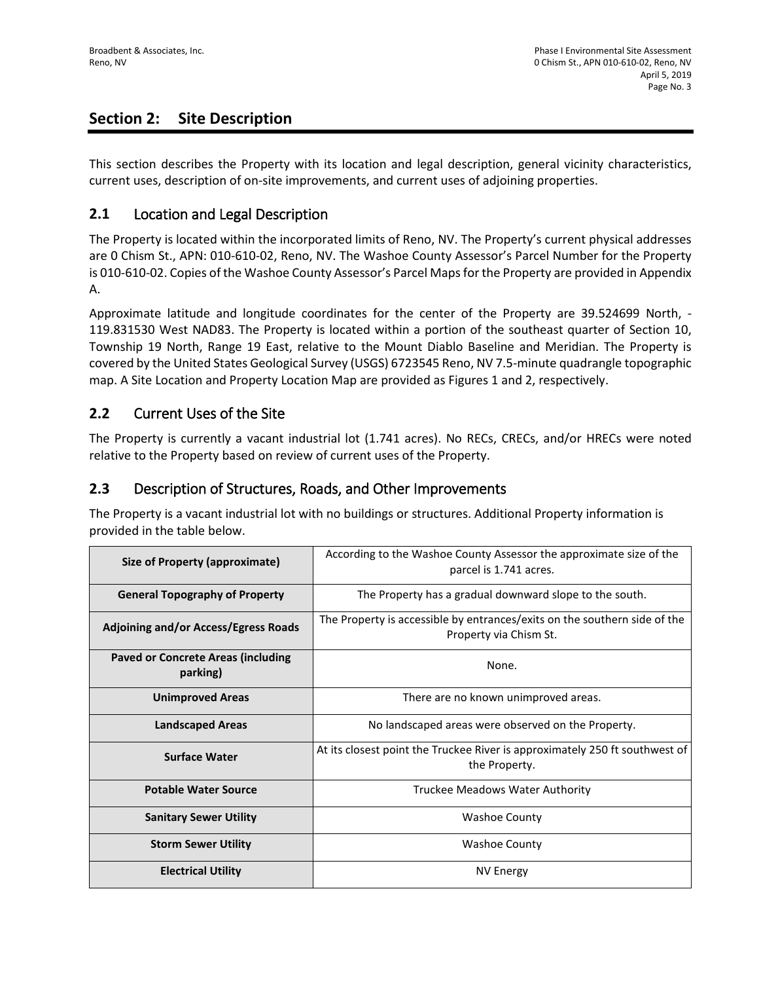# **Section 2: Site Description**

This section describes the Property with its location and legal description, general vicinity characteristics, current uses, description of on-site improvements, and current uses of adjoining properties.

## **2.1** Location and Legal Description

The Property is located within the incorporated limits of Reno, NV. The Property's current physical addresses are 0 Chism St., APN: 010-610-02, Reno, NV. The Washoe County Assessor's Parcel Number for the Property is 010-610-02. Copies of the Washoe County Assessor's Parcel Maps for the Property are provided in Appendix A.

Approximate latitude and longitude coordinates for the center of the Property are 39.524699 North, - 119.831530 West NAD83. The Property is located within a portion of the southeast quarter of Section 10, Township 19 North, Range 19 East, relative to the Mount Diablo Baseline and Meridian. The Property is covered by the United States Geological Survey (USGS) 6723545 Reno, NV 7.5-minute quadrangle topographic map. A Site Location and Property Location Map are provided as Figures 1 and 2, respectively.

## **2.2** Current Uses of the Site

The Property is currently a vacant industrial lot (1.741 acres). No RECs, CRECs, and/or HRECs were noted relative to the Property based on review of current uses of the Property.

# **2.3** Description of Structures, Roads, and Other Improvements

The Property is a vacant industrial lot with no buildings or structures. Additional Property information is provided in the table below.

| Size of Property (approximate)                        | According to the Washoe County Assessor the approximate size of the<br>parcel is 1.741 acres.       |
|-------------------------------------------------------|-----------------------------------------------------------------------------------------------------|
| <b>General Topography of Property</b>                 | The Property has a gradual downward slope to the south.                                             |
| <b>Adjoining and/or Access/Egress Roads</b>           | The Property is accessible by entrances/exits on the southern side of the<br>Property via Chism St. |
| <b>Paved or Concrete Areas (including</b><br>parking) | None.                                                                                               |
| <b>Unimproved Areas</b>                               | There are no known unimproved areas.                                                                |
| <b>Landscaped Areas</b>                               | No landscaped areas were observed on the Property.                                                  |
| <b>Surface Water</b>                                  | At its closest point the Truckee River is approximately 250 ft southwest of<br>the Property.        |
| <b>Potable Water Source</b>                           | Truckee Meadows Water Authority                                                                     |
| <b>Sanitary Sewer Utility</b>                         | <b>Washoe County</b>                                                                                |
| <b>Storm Sewer Utility</b>                            | <b>Washoe County</b>                                                                                |
| <b>Electrical Utility</b>                             | <b>NV Energy</b>                                                                                    |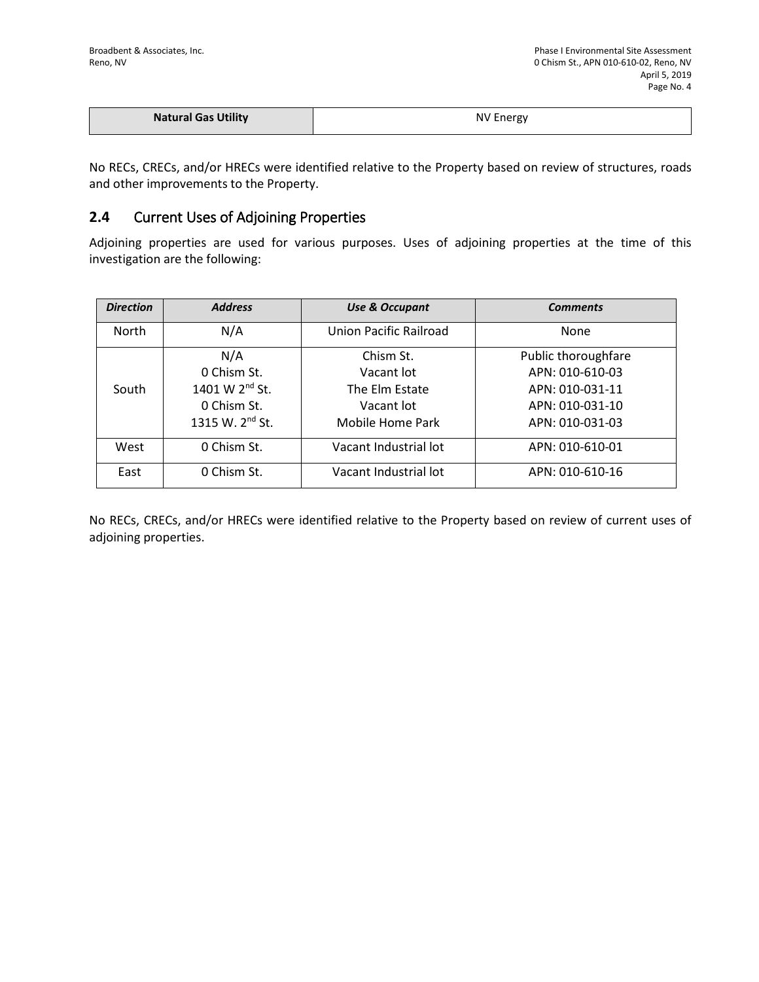| <b>Natural Gas Utility</b> | <b>NV Energy</b> |
|----------------------------|------------------|
|                            |                  |

No RECs, CRECs, and/or HRECs were identified relative to the Property based on review of structures, roads and other improvements to the Property.

## **2.4** Current Uses of Adjoining Properties

Adjoining properties are used for various purposes. Uses of adjoining properties at the time of this investigation are the following:

| <b>Direction</b> | <b>Address</b>              | <b>Use &amp; Occupant</b> | <b>Comments</b>     |
|------------------|-----------------------------|---------------------------|---------------------|
| <b>North</b>     | N/A                         | Union Pacific Railroad    | None                |
|                  | N/A                         | Chism St.                 | Public thoroughfare |
|                  | 0 Chism St.                 | Vacant lot                | APN: 010-610-03     |
| South            | 1401 W 2 <sup>nd</sup> St.  | The Elm Estate            | APN: 010-031-11     |
|                  | 0 Chism St.                 | Vacant lot                | APN: 010-031-10     |
|                  | 1315 W. 2 <sup>nd</sup> St. | Mobile Home Park          | APN: 010-031-03     |
| West             | 0 Chism St.                 | Vacant Industrial lot     | APN: 010-610-01     |
| East             | 0 Chism St.                 | Vacant Industrial lot     | APN: 010-610-16     |

No RECs, CRECs, and/or HRECs were identified relative to the Property based on review of current uses of adjoining properties.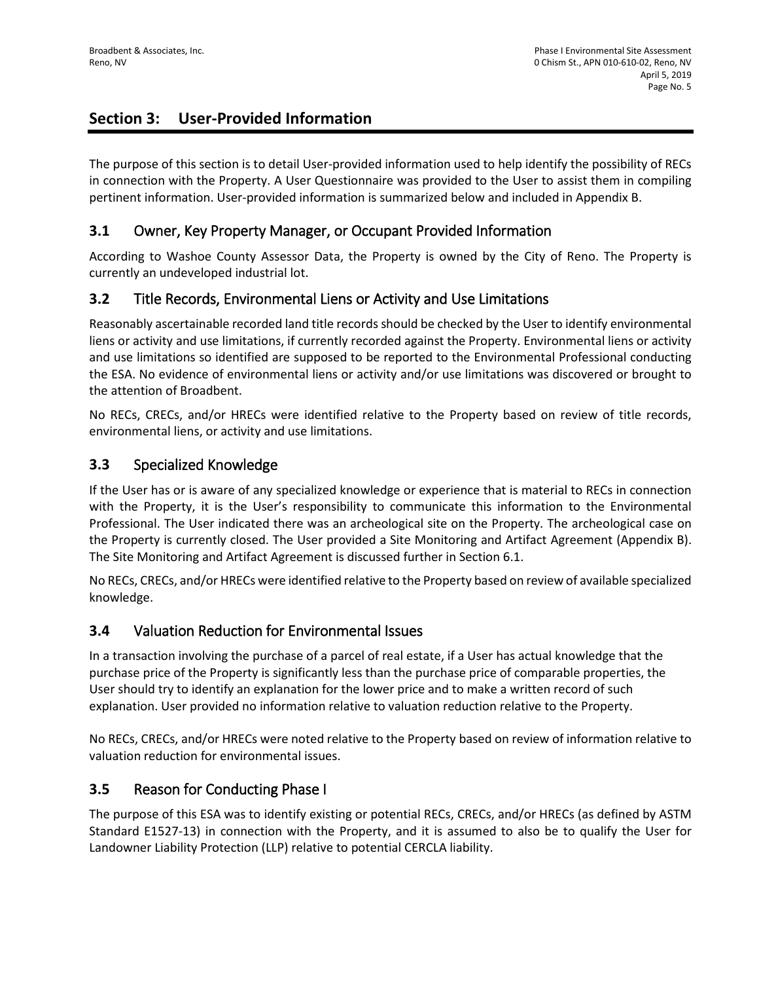# **Section 3: User-Provided Information**

The purpose of this section is to detail User-provided information used to help identify the possibility of RECs in connection with the Property. A User Questionnaire was provided to the User to assist them in compiling pertinent information. User-provided information is summarized below and included in Appendix B.

# **3.1** Owner, Key Property Manager, or Occupant Provided Information

According to Washoe County Assessor Data, the Property is owned by the City of Reno. The Property is currently an undeveloped industrial lot.

## **3.2** Title Records, Environmental Liens or Activity and Use Limitations

Reasonably ascertainable recorded land title records should be checked by the User to identify environmental liens or activity and use limitations, if currently recorded against the Property. Environmental liens or activity and use limitations so identified are supposed to be reported to the Environmental Professional conducting the ESA. No evidence of environmental liens or activity and/or use limitations was discovered or brought to the attention of Broadbent.

No RECs, CRECs, and/or HRECs were identified relative to the Property based on review of title records, environmental liens, or activity and use limitations.

## **3.3** Specialized Knowledge

If the User has or is aware of any specialized knowledge or experience that is material to RECs in connection with the Property, it is the User's responsibility to communicate this information to the Environmental Professional. The User indicated there was an archeological site on the Property. The archeological case on the Property is currently closed. The User provided a Site Monitoring and Artifact Agreement (Appendix B). The Site Monitoring and Artifact Agreement is discussed further in Section 6.1.

No RECs, CRECs, and/or HRECs were identified relative to the Property based on review of available specialized knowledge.

## **3.4** Valuation Reduction for Environmental Issues

In a transaction involving the purchase of a parcel of real estate, if a User has actual knowledge that the purchase price of the Property is significantly less than the purchase price of comparable properties, the User should try to identify an explanation for the lower price and to make a written record of such explanation. User provided no information relative to valuation reduction relative to the Property.

No RECs, CRECs, and/or HRECs were noted relative to the Property based on review of information relative to valuation reduction for environmental issues.

# **3.5** Reason for Conducting Phase I

The purpose of this ESA was to identify existing or potential RECs, CRECs, and/or HRECs (as defined by ASTM Standard E1527-13) in connection with the Property, and it is assumed to also be to qualify the User for Landowner Liability Protection (LLP) relative to potential CERCLA liability.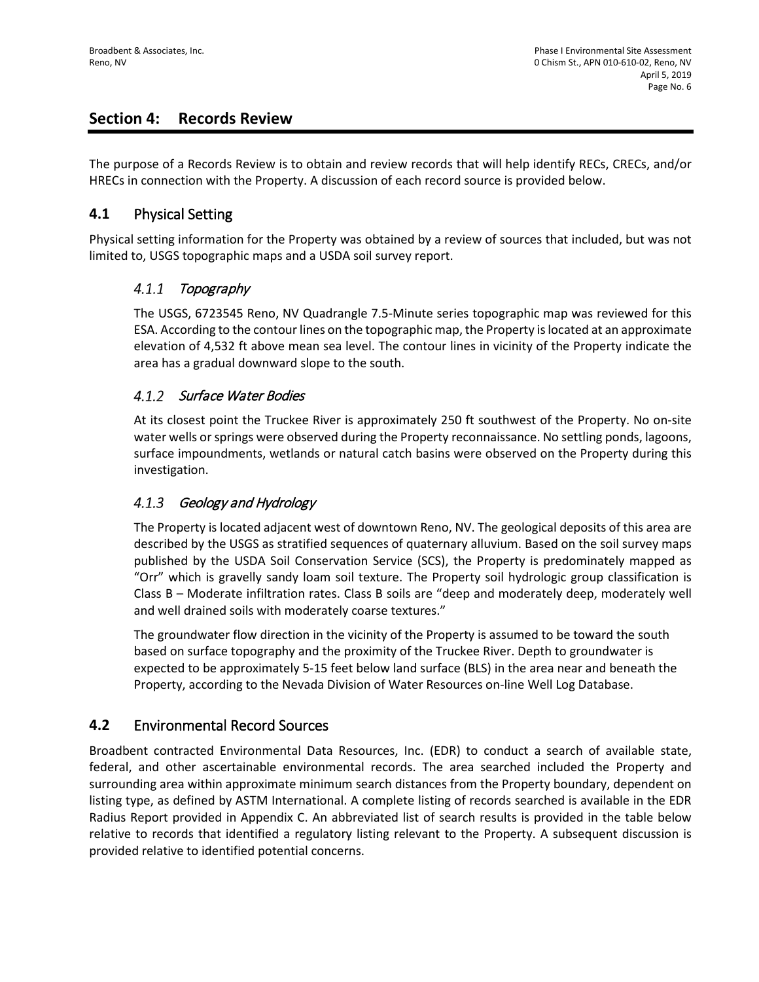# **Section 4: Records Review**

The purpose of a Records Review is to obtain and review records that will help identify RECs, CRECs, and/or HRECs in connection with the Property. A discussion of each record source is provided below.

# **4.1** Physical Setting

Physical setting information for the Property was obtained by a review of sources that included, but was not limited to, USGS topographic maps and a USDA soil survey report.

#### $4.1.1$ Topography

The USGS, 6723545 Reno, NV Quadrangle 7.5-Minute series topographic map was reviewed for this ESA. According to the contour lines on the topographic map, the Property is located at an approximate elevation of 4,532 ft above mean sea level. The contour lines in vicinity of the Property indicate the area has a gradual downward slope to the south.

## 4.1.2 Surface Water Bodies

At its closest point the Truckee River is approximately 250 ft southwest of the Property. No on-site water wells or springs were observed during the Property reconnaissance. No settling ponds, lagoons, surface impoundments, wetlands or natural catch basins were observed on the Property during this investigation.

#### $4.1.3$ Geology and Hydrology

The Property is located adjacent west of downtown Reno, NV. The geological deposits of this area are described by the USGS as stratified sequences of quaternary alluvium. Based on the soil survey maps published by the USDA Soil Conservation Service (SCS), the Property is predominately mapped as "Orr" which is gravelly sandy loam soil texture. The Property soil hydrologic group classification is Class B – Moderate infiltration rates. Class B soils are "deep and moderately deep, moderately well and well drained soils with moderately coarse textures."

The groundwater flow direction in the vicinity of the Property is assumed to be toward the south based on surface topography and the proximity of the Truckee River. Depth to groundwater is expected to be approximately 5-15 feet below land surface (BLS) in the area near and beneath the Property, according to the Nevada Division of Water Resources on-line Well Log Database.

# **4.2** Environmental Record Sources

Broadbent contracted Environmental Data Resources, Inc. (EDR) to conduct a search of available state, federal, and other ascertainable environmental records. The area searched included the Property and surrounding area within approximate minimum search distances from the Property boundary, dependent on listing type, as defined by ASTM International. A complete listing of records searched is available in the EDR Radius Report provided in Appendix C. An abbreviated list of search results is provided in the table below relative to records that identified a regulatory listing relevant to the Property. A subsequent discussion is provided relative to identified potential concerns.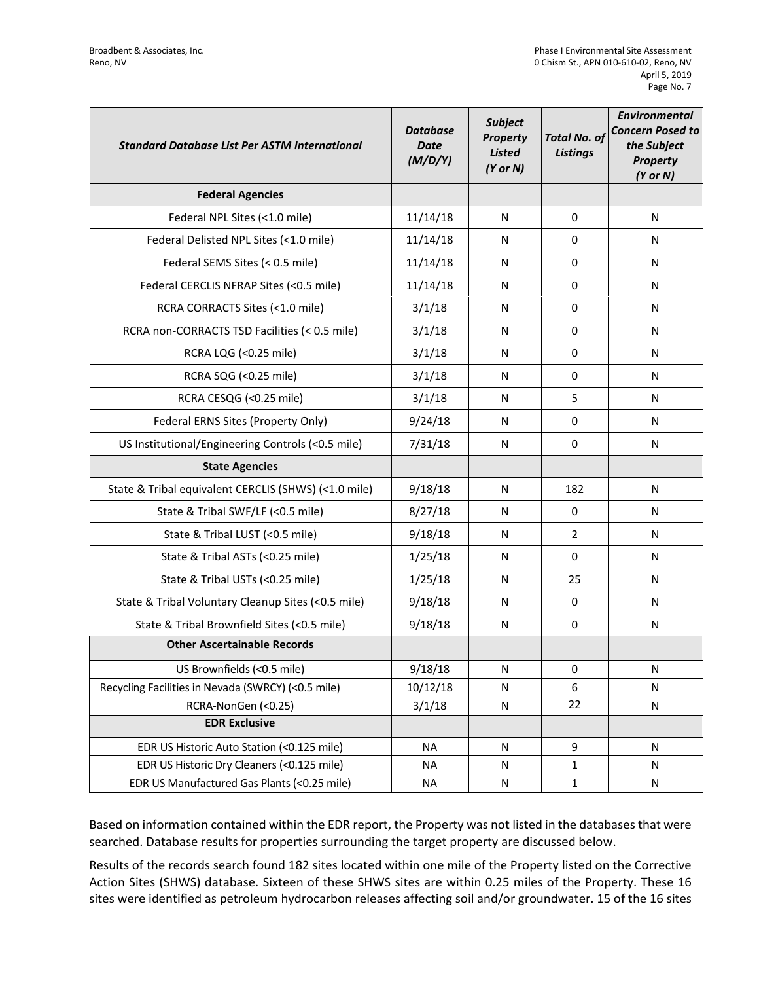| <b>Standard Database List Per ASTM International</b> | <b>Database</b><br><b>Date</b><br>(M/D/Y) | <b>Subject</b><br><b>Property</b><br><b>Listed</b><br>$(Y$ or $N)$ | <b>Total No. of</b><br><b>Listings</b> | <b>Environmental</b><br><b>Concern Posed to</b><br>the Subject<br><b>Property</b><br>$(Y$ or $N)$ |
|------------------------------------------------------|-------------------------------------------|--------------------------------------------------------------------|----------------------------------------|---------------------------------------------------------------------------------------------------|
| <b>Federal Agencies</b>                              |                                           |                                                                    |                                        |                                                                                                   |
| Federal NPL Sites (<1.0 mile)                        | 11/14/18                                  | N                                                                  | 0                                      | N                                                                                                 |
| Federal Delisted NPL Sites (<1.0 mile)               | 11/14/18                                  | N                                                                  | 0                                      | N                                                                                                 |
| Federal SEMS Sites (< 0.5 mile)                      | 11/14/18                                  | N                                                                  | 0                                      | N                                                                                                 |
| Federal CERCLIS NFRAP Sites (<0.5 mile)              | 11/14/18                                  | N                                                                  | 0                                      | N                                                                                                 |
| RCRA CORRACTS Sites (<1.0 mile)                      | 3/1/18                                    | N                                                                  | 0                                      | N                                                                                                 |
| RCRA non-CORRACTS TSD Facilities (< 0.5 mile)        | 3/1/18                                    | N                                                                  | 0                                      | N                                                                                                 |
| RCRA LQG (<0.25 mile)                                | 3/1/18                                    | N                                                                  | 0                                      | N                                                                                                 |
| RCRA SQG (<0.25 mile)                                | 3/1/18                                    | N                                                                  | 0                                      | N                                                                                                 |
| RCRA CESQG (<0.25 mile)                              | 3/1/18                                    | N                                                                  | 5                                      | N                                                                                                 |
| Federal ERNS Sites (Property Only)                   | 9/24/18                                   | N                                                                  | $\Omega$                               | N                                                                                                 |
| US Institutional/Engineering Controls (<0.5 mile)    | 7/31/18                                   | N                                                                  | 0                                      | N                                                                                                 |
| <b>State Agencies</b>                                |                                           |                                                                    |                                        |                                                                                                   |
| State & Tribal equivalent CERCLIS (SHWS) (<1.0 mile) | 9/18/18                                   | N                                                                  | 182                                    | N                                                                                                 |
| State & Tribal SWF/LF (<0.5 mile)                    | 8/27/18                                   | N                                                                  | 0                                      | N                                                                                                 |
| State & Tribal LUST (<0.5 mile)                      | 9/18/18                                   | N                                                                  | $\overline{2}$                         | N                                                                                                 |
| State & Tribal ASTs (<0.25 mile)                     | 1/25/18                                   | N                                                                  | 0                                      | N                                                                                                 |
| State & Tribal USTs (<0.25 mile)                     | 1/25/18                                   | N                                                                  | 25                                     | N                                                                                                 |
| State & Tribal Voluntary Cleanup Sites (<0.5 mile)   | 9/18/18                                   | N                                                                  | 0                                      | N                                                                                                 |
| State & Tribal Brownfield Sites (<0.5 mile)          | 9/18/18                                   | N                                                                  | 0                                      | N                                                                                                 |
| <b>Other Ascertainable Records</b>                   |                                           |                                                                    |                                        |                                                                                                   |
| US Brownfields (<0.5 mile)                           | 9/18/18                                   | N                                                                  | 0                                      | N                                                                                                 |
| Recycling Facilities in Nevada (SWRCY) (<0.5 mile)   | 10/12/18                                  | N                                                                  | 6                                      | N                                                                                                 |
| RCRA-NonGen (<0.25)                                  | 3/1/18                                    | ${\sf N}$                                                          | 22                                     | N                                                                                                 |
| <b>EDR Exclusive</b>                                 |                                           |                                                                    |                                        |                                                                                                   |
| EDR US Historic Auto Station (<0.125 mile)           | <b>NA</b>                                 | N                                                                  | 9                                      | N                                                                                                 |
| EDR US Historic Dry Cleaners (<0.125 mile)           | <b>NA</b>                                 | N                                                                  | $\mathbf{1}$                           | N                                                                                                 |
| EDR US Manufactured Gas Plants (<0.25 mile)          | <b>NA</b>                                 | N                                                                  | $\mathbf 1$                            | N                                                                                                 |

Based on information contained within the EDR report, the Property was not listed in the databases that were searched. Database results for properties surrounding the target property are discussed below.

Results of the records search found 182 sites located within one mile of the Property listed on the Corrective Action Sites (SHWS) database. Sixteen of these SHWS sites are within 0.25 miles of the Property. These 16 sites were identified as petroleum hydrocarbon releases affecting soil and/or groundwater. 15 of the 16 sites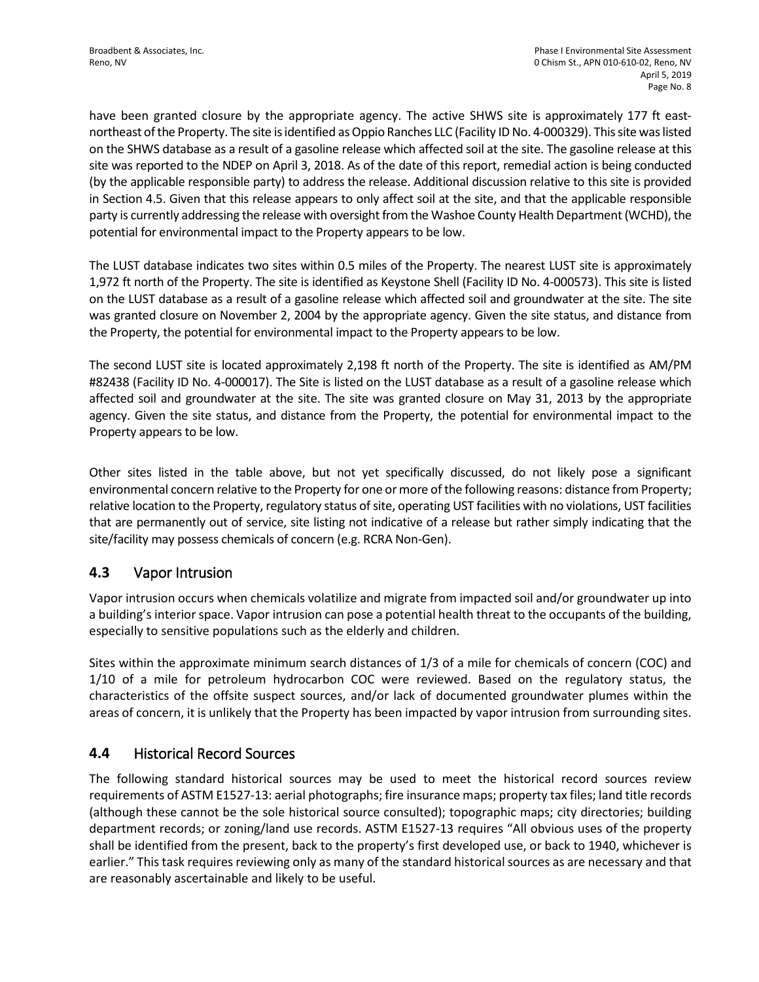have been granted closure by the appropriate agency. The active SHWS site is approximately 177 ft eastnortheast of the Property. The site is identified as Oppio Ranches LLC (Facility ID No. 4-000329). This site was listed on the SHWS database as a result of a gasoline release which affected soil at the site. The gasoline release at this site was reported to the NDEP on April 3, 2018. As of the date of this report, remedial action is being conducted (by the applicable responsible party) to address the release. Additional discussion relative to this site is provided in Section 4.5. Given that this release appears to only affect soil at the site, and that the applicable responsible party is currently addressing the release with oversight from the Washoe County Health Department (WCHD), the potential for environmental impact to the Property appears to be low.

The LUST database indicates two sites within 0.5 miles of the Property. The nearest LUST site is approximately 1,972 ft north of the Property. The site is identified as Keystone Shell (Facility ID No. 4-000573). This site is listed on the LUST database as a result of a gasoline release which affected soil and groundwater at the site. The site was granted closure on November 2, 2004 by the appropriate agency. Given the site status, and distance from the Property, the potential for environmental impact to the Property appears to be low.

The second LUST site is located approximately 2,198 ft north of the Property. The site is identified as AM/PM #82438 (Facility ID No. 4-000017). The Site is listed on the LUST database as a result of a gasoline release which affected soil and groundwater at the site. The site was granted closure on May 31, 2013 by the appropriate agency. Given the site status, and distance from the Property, the potential for environmental impact to the Property appears to be low.

Other sites listed in the table above, but not yet specifically discussed, do not likely pose a significant environmental concern relative to the Property for one or more of the following reasons: distance from Property; relative location to the Property, regulatory status of site, operating UST facilities with no violations, UST facilities that are permanently out of service, site listing not indicative of a release but rather simply indicating that the site/facility may possess chemicals of concern (e.g. RCRA Non-Gen).

# **4.3** Vapor Intrusion

Vapor intrusion occurs when chemicals volatilize and migrate from impacted soil and/or groundwater up into a building's interior space. Vapor intrusion can pose a potential health threat to the occupants of the building, especially to sensitive populations such as the elderly and children.

Sites within the approximate minimum search distances of 1/3 of a mile for chemicals of concern (COC) and 1/10 of a mile for petroleum hydrocarbon COC were reviewed. Based on the regulatory status, the characteristics of the offsite suspect sources, and/or lack of documented groundwater plumes within the areas of concern, it is unlikely that the Property has been impacted by vapor intrusion from surrounding sites.

# **4.4** Historical Record Sources

The following standard historical sources may be used to meet the historical record sources review requirements of ASTM E1527-13: aerial photographs; fire insurance maps; property tax files; land title records (although these cannot be the sole historical source consulted); topographic maps; city directories; building department records; or zoning/land use records. ASTM E1527-13 requires "All obvious uses of the property shall be identified from the present, back to the property's first developed use, or back to 1940, whichever is earlier." This task requires reviewing only as many of the standard historical sources as are necessary and that are reasonably ascertainable and likely to be useful.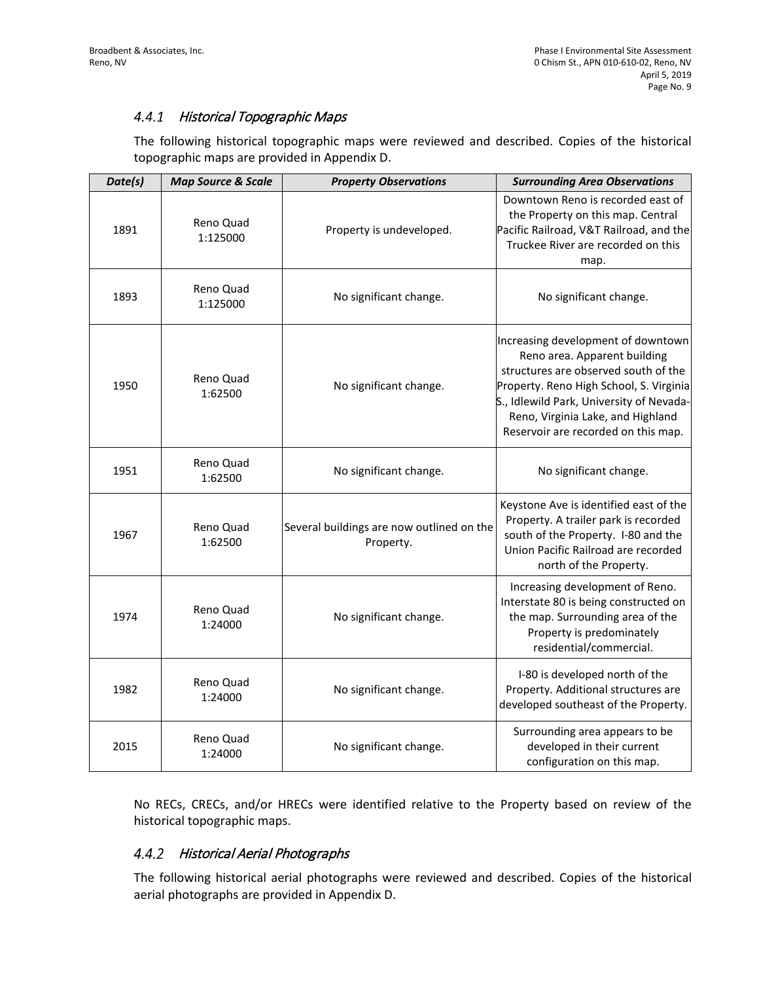## 4.4.1 Historical Topographic Maps

The following historical topographic maps were reviewed and described. Copies of the historical topographic maps are provided in Appendix D.

| Date(s) | <b>Map Source &amp; Scale</b> | <b>Property Observations</b>                           | <b>Surrounding Area Observations</b>                                                                                                                                                                                                                                          |
|---------|-------------------------------|--------------------------------------------------------|-------------------------------------------------------------------------------------------------------------------------------------------------------------------------------------------------------------------------------------------------------------------------------|
| 1891    | Reno Quad<br>1:125000         | Property is undeveloped.                               | Downtown Reno is recorded east of<br>the Property on this map. Central<br>Pacific Railroad, V&T Railroad, and the<br>Truckee River are recorded on this<br>map.                                                                                                               |
| 1893    | Reno Quad<br>1:125000         | No significant change.                                 | No significant change.                                                                                                                                                                                                                                                        |
| 1950    | Reno Quad<br>1:62500          | No significant change.                                 | Increasing development of downtown<br>Reno area. Apparent building<br>structures are observed south of the<br>Property. Reno High School, S. Virginia<br>S., Idlewild Park, University of Nevada-<br>Reno, Virginia Lake, and Highland<br>Reservoir are recorded on this map. |
| 1951    | Reno Quad<br>1:62500          | No significant change.                                 | No significant change.                                                                                                                                                                                                                                                        |
| 1967    | Reno Quad<br>1:62500          | Several buildings are now outlined on the<br>Property. | Keystone Ave is identified east of the<br>Property. A trailer park is recorded<br>south of the Property. I-80 and the<br>Union Pacific Railroad are recorded<br>north of the Property.                                                                                        |
| 1974    | Reno Quad<br>1:24000          | No significant change.                                 | Increasing development of Reno.<br>Interstate 80 is being constructed on<br>the map. Surrounding area of the<br>Property is predominately<br>residential/commercial.                                                                                                          |
| 1982    | Reno Quad<br>1:24000          | No significant change.                                 | I-80 is developed north of the<br>Property. Additional structures are<br>developed southeast of the Property.                                                                                                                                                                 |
| 2015    | Reno Quad<br>1:24000          | No significant change.                                 | Surrounding area appears to be<br>developed in their current<br>configuration on this map.                                                                                                                                                                                    |

No RECs, CRECs, and/or HRECs were identified relative to the Property based on review of the historical topographic maps.

## 4.4.2 Historical Aerial Photographs

The following historical aerial photographs were reviewed and described. Copies of the historical aerial photographs are provided in Appendix D.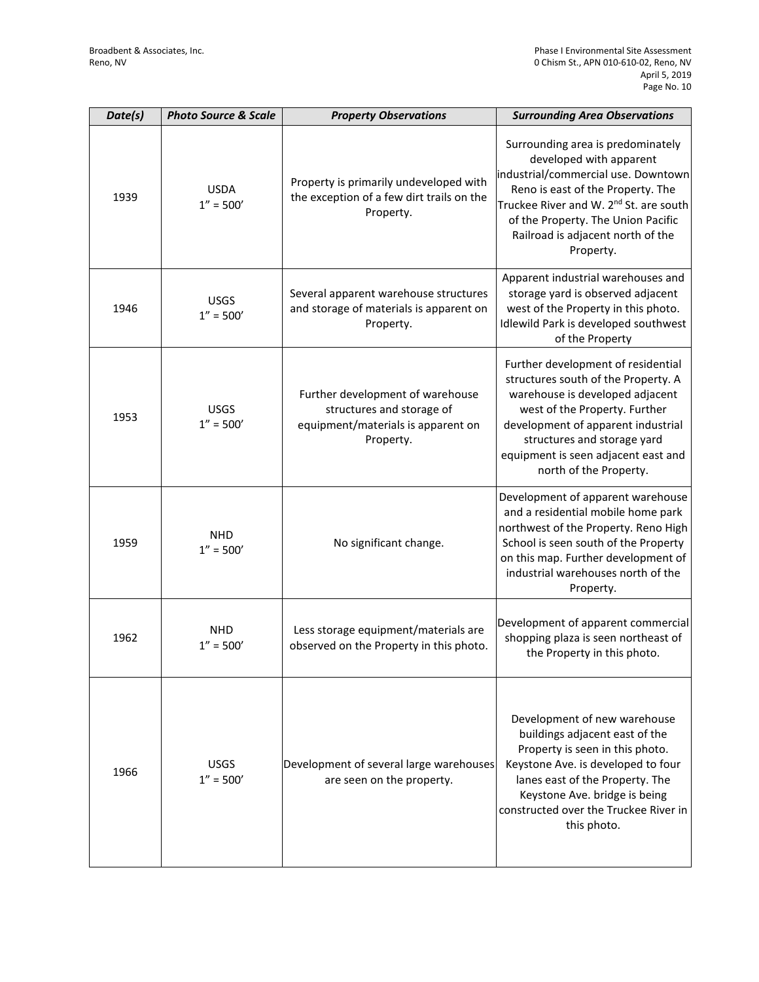| Date(s) | <b>Photo Source &amp; Scale</b> | <b>Property Observations</b>                                                                                     | <b>Surrounding Area Observations</b>                                                                                                                                                                                                                                                   |
|---------|---------------------------------|------------------------------------------------------------------------------------------------------------------|----------------------------------------------------------------------------------------------------------------------------------------------------------------------------------------------------------------------------------------------------------------------------------------|
| 1939    | <b>USDA</b><br>$1'' = 500'$     | Property is primarily undeveloped with<br>the exception of a few dirt trails on the<br>Property.                 | Surrounding area is predominately<br>developed with apparent<br>industrial/commercial use. Downtown<br>Reno is east of the Property. The<br>Truckee River and W. 2 <sup>nd</sup> St. are south<br>of the Property. The Union Pacific<br>Railroad is adjacent north of the<br>Property. |
| 1946    | <b>USGS</b><br>$1'' = 500'$     | Several apparent warehouse structures<br>and storage of materials is apparent on<br>Property.                    | Apparent industrial warehouses and<br>storage yard is observed adjacent<br>west of the Property in this photo.<br>Idlewild Park is developed southwest<br>of the Property                                                                                                              |
| 1953    | <b>USGS</b><br>$1'' = 500'$     | Further development of warehouse<br>structures and storage of<br>equipment/materials is apparent on<br>Property. | Further development of residential<br>structures south of the Property. A<br>warehouse is developed adjacent<br>west of the Property. Further<br>development of apparent industrial<br>structures and storage yard<br>equipment is seen adjacent east and<br>north of the Property.    |
| 1959    | <b>NHD</b><br>$1'' = 500'$      | No significant change.                                                                                           | Development of apparent warehouse<br>and a residential mobile home park<br>northwest of the Property. Reno High<br>School is seen south of the Property<br>on this map. Further development of<br>industrial warehouses north of the<br>Property.                                      |
| 1962    | <b>NHD</b><br>$1'' = 500'$      | Less storage equipment/materials are<br>observed on the Property in this photo.                                  | Development of apparent commercial<br>shopping plaza is seen northeast of<br>the Property in this photo.                                                                                                                                                                               |
| 1966    | <b>USGS</b><br>$1'' = 500'$     | Development of several large warehouses<br>are seen on the property.                                             | Development of new warehouse<br>buildings adjacent east of the<br>Property is seen in this photo.<br>Keystone Ave. is developed to four<br>lanes east of the Property. The<br>Keystone Ave. bridge is being<br>constructed over the Truckee River in<br>this photo.                    |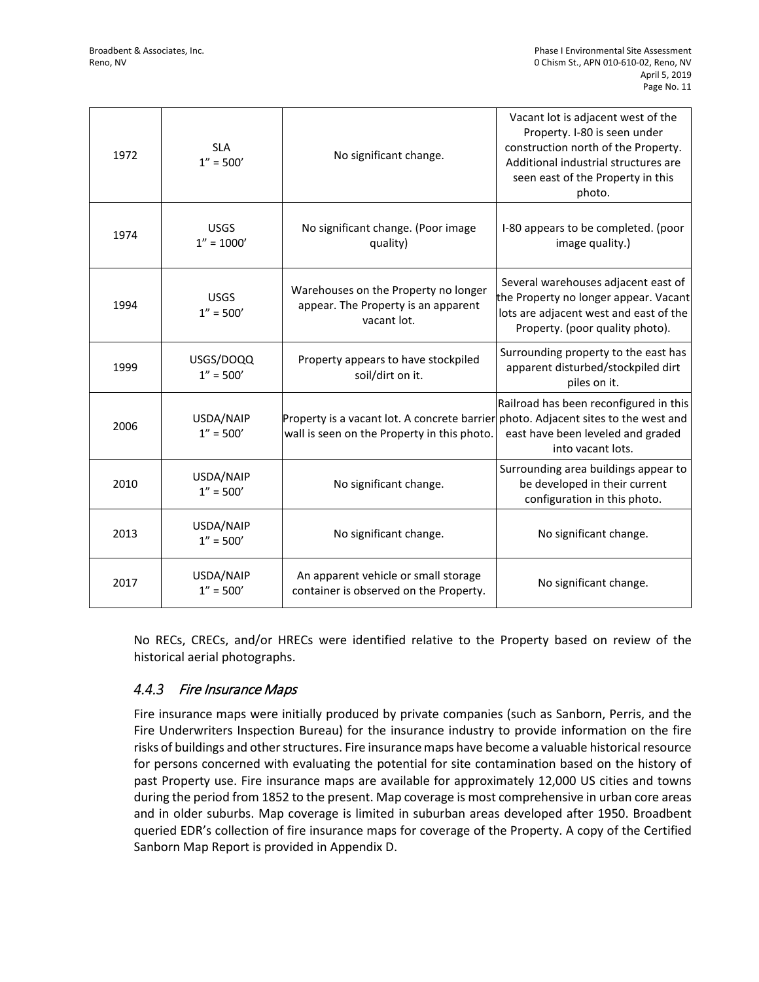| 1972 | <b>SLA</b><br>$1'' = 500'$   | No significant change.                                                                                                            | Vacant lot is adjacent west of the<br>Property. I-80 is seen under<br>construction north of the Property.<br>Additional industrial structures are<br>seen east of the Property in this<br>photo. |
|------|------------------------------|-----------------------------------------------------------------------------------------------------------------------------------|--------------------------------------------------------------------------------------------------------------------------------------------------------------------------------------------------|
| 1974 | <b>USGS</b><br>$1'' = 1000'$ | No significant change. (Poor image<br>quality)                                                                                    | I-80 appears to be completed. (poor<br>image quality.)                                                                                                                                           |
| 1994 | <b>USGS</b><br>$1'' = 500'$  | Warehouses on the Property no longer<br>appear. The Property is an apparent<br>vacant lot.                                        | Several warehouses adjacent east of<br>the Property no longer appear. Vacant<br>lots are adjacent west and east of the<br>Property. (poor quality photo).                                        |
| 1999 | USGS/DOQQ<br>$1'' = 500'$    | Property appears to have stockpiled<br>soil/dirt on it.                                                                           | Surrounding property to the east has<br>apparent disturbed/stockpiled dirt<br>piles on it.                                                                                                       |
| 2006 | USDA/NAIP<br>$1'' = 500'$    | Property is a vacant lot. A concrete barrier photo. Adjacent sites to the west and<br>wall is seen on the Property in this photo. | Railroad has been reconfigured in this<br>east have been leveled and graded<br>into vacant lots.                                                                                                 |
| 2010 | USDA/NAIP<br>$1'' = 500'$    | No significant change.                                                                                                            | Surrounding area buildings appear to<br>be developed in their current<br>configuration in this photo.                                                                                            |
| 2013 | USDA/NAIP<br>$1'' = 500'$    | No significant change.                                                                                                            | No significant change.                                                                                                                                                                           |
| 2017 | USDA/NAIP<br>$1'' = 500'$    | An apparent vehicle or small storage<br>container is observed on the Property.                                                    | No significant change.                                                                                                                                                                           |

No RECs, CRECs, and/or HRECs were identified relative to the Property based on review of the historical aerial photographs.

#### $4.4.3$ Fire Insurance Maps

Fire insurance maps were initially produced by private companies (such as Sanborn, Perris, and the Fire Underwriters Inspection Bureau) for the insurance industry to provide information on the fire risks of buildings and other structures. Fire insurance maps have become a valuable historical resource for persons concerned with evaluating the potential for site contamination based on the history of past Property use. Fire insurance maps are available for approximately 12,000 US cities and towns during the period from 1852 to the present. Map coverage is most comprehensive in urban core areas and in older suburbs. Map coverage is limited in suburban areas developed after 1950. Broadbent queried EDR's collection of fire insurance maps for coverage of the Property. A copy of the Certified Sanborn Map Report is provided in Appendix D.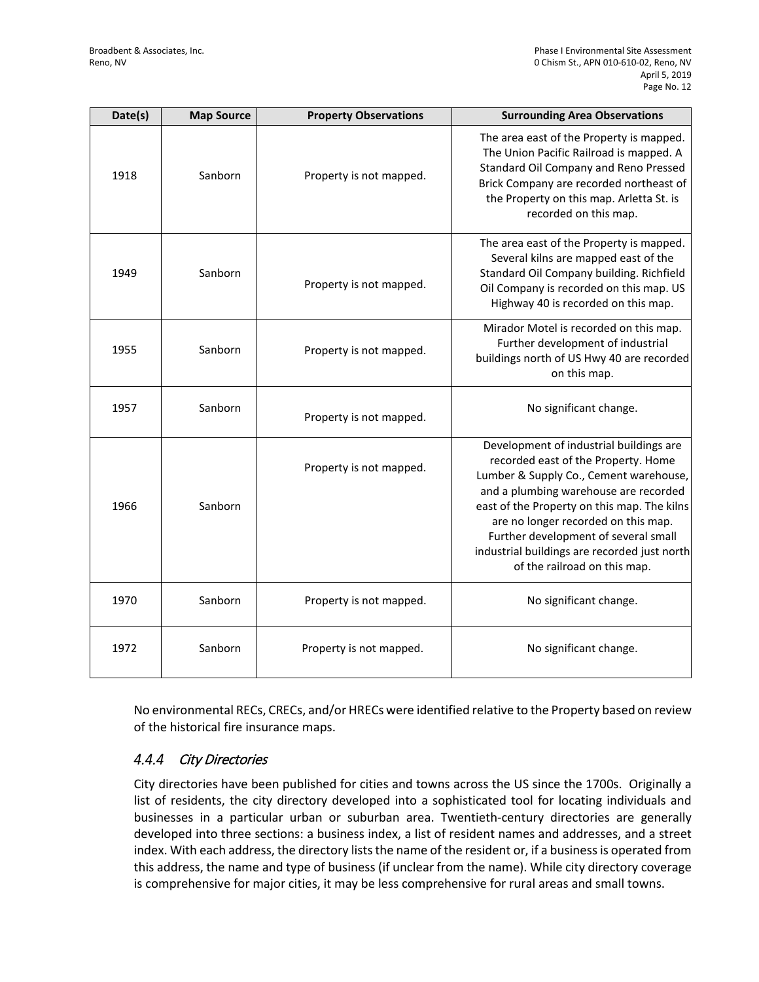| Date(s) | <b>Map Source</b> | <b>Property Observations</b> | <b>Surrounding Area Observations</b>                                                                                                                                                                                                                                                                                                                                            |
|---------|-------------------|------------------------------|---------------------------------------------------------------------------------------------------------------------------------------------------------------------------------------------------------------------------------------------------------------------------------------------------------------------------------------------------------------------------------|
| 1918    | Sanborn           | Property is not mapped.      | The area east of the Property is mapped.<br>The Union Pacific Railroad is mapped. A<br>Standard Oil Company and Reno Pressed<br>Brick Company are recorded northeast of<br>the Property on this map. Arletta St. is<br>recorded on this map.                                                                                                                                    |
| 1949    | Sanborn           | Property is not mapped.      | The area east of the Property is mapped.<br>Several kilns are mapped east of the<br>Standard Oil Company building. Richfield<br>Oil Company is recorded on this map. US<br>Highway 40 is recorded on this map.                                                                                                                                                                  |
| 1955    | Sanborn           | Property is not mapped.      | Mirador Motel is recorded on this map.<br>Further development of industrial<br>buildings north of US Hwy 40 are recorded<br>on this map.                                                                                                                                                                                                                                        |
| 1957    | Sanborn           | Property is not mapped.      | No significant change.                                                                                                                                                                                                                                                                                                                                                          |
| 1966    | Sanborn           | Property is not mapped.      | Development of industrial buildings are<br>recorded east of the Property. Home<br>Lumber & Supply Co., Cement warehouse,<br>and a plumbing warehouse are recorded<br>east of the Property on this map. The kilns<br>are no longer recorded on this map.<br>Further development of several small<br>industrial buildings are recorded just north<br>of the railroad on this map. |
| 1970    | Sanborn           | Property is not mapped.      | No significant change.                                                                                                                                                                                                                                                                                                                                                          |
| 1972    | Sanborn           | Property is not mapped.      | No significant change.                                                                                                                                                                                                                                                                                                                                                          |

No environmental RECs, CRECs, and/or HRECs were identified relative to the Property based on review of the historical fire insurance maps.

#### $4.4.4$ City Directories

City directories have been published for cities and towns across the US since the 1700s. Originally a list of residents, the city directory developed into a sophisticated tool for locating individuals and businesses in a particular urban or suburban area. Twentieth-century directories are generally developed into three sections: a business index, a list of resident names and addresses, and a street index. With each address, the directory lists the name of the resident or, if a business is operated from this address, the name and type of business (if unclear from the name). While city directory coverage is comprehensive for major cities, it may be less comprehensive for rural areas and small towns.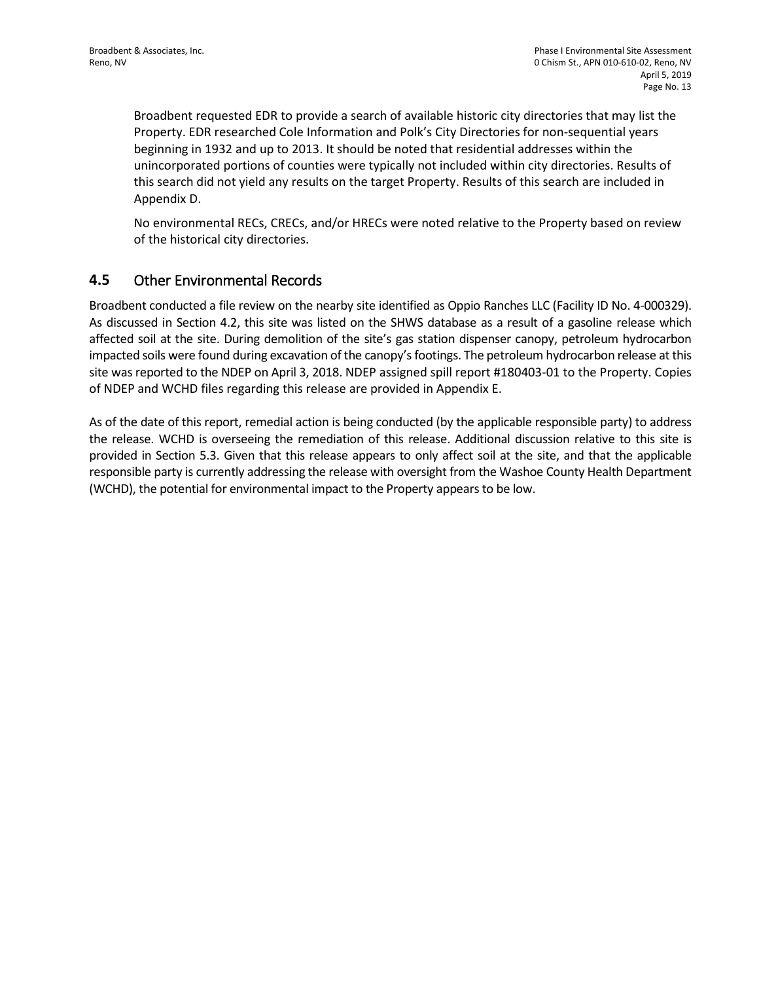Broadbent requested EDR to provide a search of available historic city directories that may list the Property. EDR researched Cole Information and Polk's City Directories for non-sequential years beginning in 1932 and up to 2013. It should be noted that residential addresses within the unincorporated portions of counties were typically not included within city directories. Results of this search did not yield any results on the target Property. Results of this search are included in Appendix D.

No environmental RECs, CRECs, and/or HRECs were noted relative to the Property based on review of the historical city directories.

## **4.5** Other Environmental Records

Broadbent conducted a file review on the nearby site identified as Oppio Ranches LLC (Facility ID No. 4-000329). As discussed in Section 4.2, this site was listed on the SHWS database as a result of a gasoline release which affected soil at the site. During demolition of the site's gas station dispenser canopy, petroleum hydrocarbon impacted soils were found during excavation of the canopy's footings. The petroleum hydrocarbon release at this site was reported to the NDEP on April 3, 2018. NDEP assigned spill report #180403-01 to the Property. Copies of NDEP and WCHD files regarding this release are provided in Appendix E.

As of the date of this report, remedial action is being conducted (by the applicable responsible party) to address the release. WCHD is overseeing the remediation of this release. Additional discussion relative to this site is provided in Section 5.3. Given that this release appears to only affect soil at the site, and that the applicable responsible party is currently addressing the release with oversight from the Washoe County Health Department (WCHD), the potential for environmental impact to the Property appears to be low.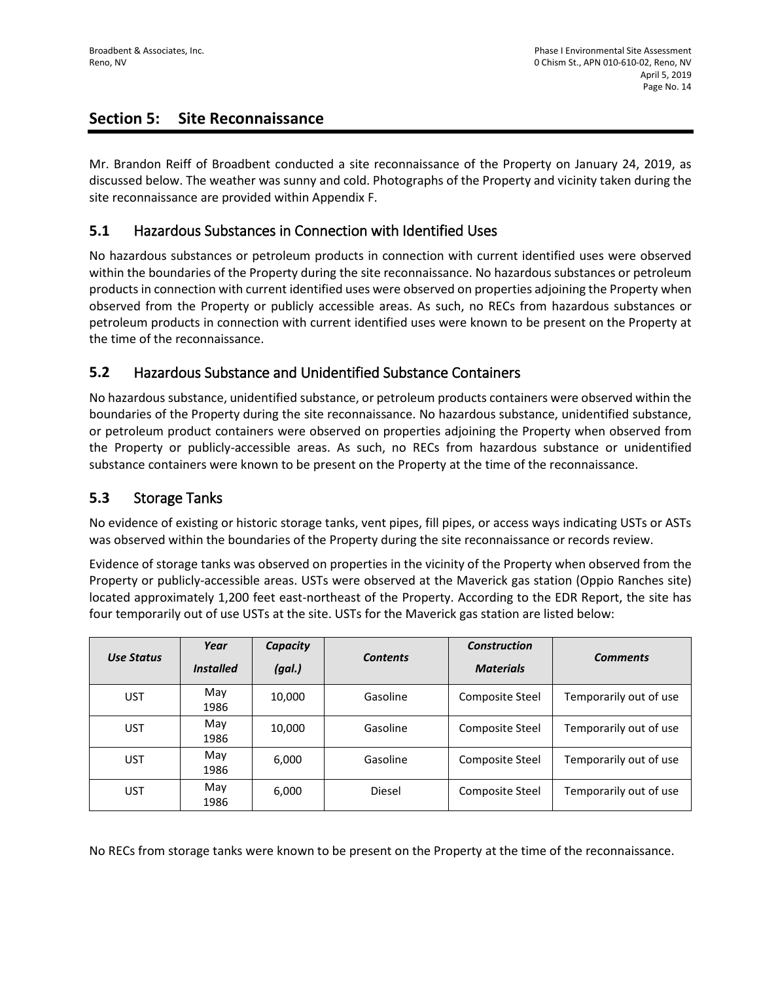# **Section 5: Site Reconnaissance**

Mr. Brandon Reiff of Broadbent conducted a site reconnaissance of the Property on January 24, 2019, as discussed below. The weather was sunny and cold. Photographs of the Property and vicinity taken during the site reconnaissance are provided within Appendix F.

# **5.1** Hazardous Substances in Connection with Identified Uses

No hazardous substances or petroleum products in connection with current identified uses were observed within the boundaries of the Property during the site reconnaissance. No hazardous substances or petroleum products in connection with current identified uses were observed on properties adjoining the Property when observed from the Property or publicly accessible areas. As such, no RECs from hazardous substances or petroleum products in connection with current identified uses were known to be present on the Property at the time of the reconnaissance.

# **5.2** Hazardous Substance and Unidentified Substance Containers

No hazardous substance, unidentified substance, or petroleum products containers were observed within the boundaries of the Property during the site reconnaissance. No hazardous substance, unidentified substance, or petroleum product containers were observed on properties adjoining the Property when observed from the Property or publicly-accessible areas. As such, no RECs from hazardous substance or unidentified substance containers were known to be present on the Property at the time of the reconnaissance.

# **5.3** Storage Tanks

No evidence of existing or historic storage tanks, vent pipes, fill pipes, or access ways indicating USTs or ASTs was observed within the boundaries of the Property during the site reconnaissance or records review.

Evidence of storage tanks was observed on properties in the vicinity of the Property when observed from the Property or publicly-accessible areas. USTs were observed at the Maverick gas station (Oppio Ranches site) located approximately 1,200 feet east-northeast of the Property. According to the EDR Report, the site has four temporarily out of use USTs at the site. USTs for the Maverick gas station are listed below:

| Use Status | Year<br><b>Installed</b> | Capacity<br>(gal.) | <b>Contents</b> | <b>Construction</b><br><b>Materials</b> | <b>Comments</b>        |
|------------|--------------------------|--------------------|-----------------|-----------------------------------------|------------------------|
| <b>UST</b> | May<br>1986              | 10,000             | Gasoline        | Composite Steel                         | Temporarily out of use |
| <b>UST</b> | May<br>1986              | 10,000             | Gasoline        | Composite Steel                         | Temporarily out of use |
| <b>UST</b> | May<br>1986              | 6,000              | Gasoline        | Composite Steel                         | Temporarily out of use |
| <b>UST</b> | May<br>1986              | 6,000              | Diesel          | Composite Steel                         | Temporarily out of use |

No RECs from storage tanks were known to be present on the Property at the time of the reconnaissance.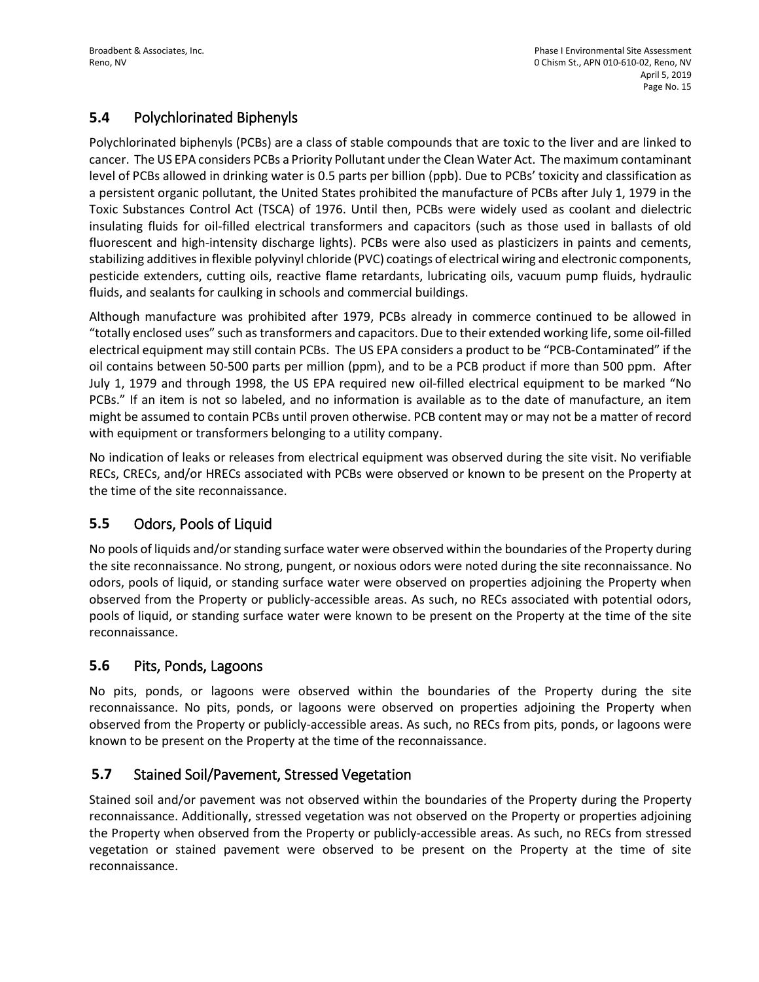# **5.4** Polychlorinated Biphenyls

Polychlorinated biphenyls (PCBs) are a class of stable compounds that are toxic to the liver and are linked to cancer. The US EPA considers PCBs a Priority Pollutant under the Clean Water Act. The maximum contaminant level of PCBs allowed in drinking water is 0.5 parts per billion (ppb). Due to PCBs' toxicity and classification as a persistent organic pollutant, the United States prohibited the manufacture of PCBs after July 1, 1979 in the Toxic Substances Control Act (TSCA) of 1976. Until then, PCBs were widely used as coolant and dielectric insulating fluids for oil-filled electrical transformers and capacitors (such as those used in ballasts of old fluorescent and high-intensity discharge lights). PCBs were also used as plasticizers in paints and cements, stabilizing additives in flexible polyvinyl chloride (PVC) coatings of electrical wiring and electronic components, pesticide extenders, cutting oils, reactive flame retardants, lubricating oils, vacuum pump fluids, hydraulic fluids, and sealants for caulking in schools and commercial buildings.

Although manufacture was prohibited after 1979, PCBs already in commerce continued to be allowed in "totally enclosed uses" such as transformers and capacitors. Due to their extended working life, some oil-filled electrical equipment may still contain PCBs. The US EPA considers a product to be "PCB-Contaminated" if the oil contains between 50-500 parts per million (ppm), and to be a PCB product if more than 500 ppm. After July 1, 1979 and through 1998, the US EPA required new oil-filled electrical equipment to be marked "No PCBs." If an item is not so labeled, and no information is available as to the date of manufacture, an item might be assumed to contain PCBs until proven otherwise. PCB content may or may not be a matter of record with equipment or transformers belonging to a utility company.

No indication of leaks or releases from electrical equipment was observed during the site visit. No verifiable RECs, CRECs, and/or HRECs associated with PCBs were observed or known to be present on the Property at the time of the site reconnaissance.

# **5.5** Odors, Pools of Liquid

No pools of liquids and/or standing surface water were observed within the boundaries of the Property during the site reconnaissance. No strong, pungent, or noxious odors were noted during the site reconnaissance. No odors, pools of liquid, or standing surface water were observed on properties adjoining the Property when observed from the Property or publicly-accessible areas. As such, no RECs associated with potential odors, pools of liquid, or standing surface water were known to be present on the Property at the time of the site reconnaissance.

# **5.6** Pits, Ponds, Lagoons

No pits, ponds, or lagoons were observed within the boundaries of the Property during the site reconnaissance. No pits, ponds, or lagoons were observed on properties adjoining the Property when observed from the Property or publicly-accessible areas. As such, no RECs from pits, ponds, or lagoons were known to be present on the Property at the time of the reconnaissance.

# **5.7** Stained Soil/Pavement, Stressed Vegetation

Stained soil and/or pavement was not observed within the boundaries of the Property during the Property reconnaissance. Additionally, stressed vegetation was not observed on the Property or properties adjoining the Property when observed from the Property or publicly-accessible areas. As such, no RECs from stressed vegetation or stained pavement were observed to be present on the Property at the time of site reconnaissance.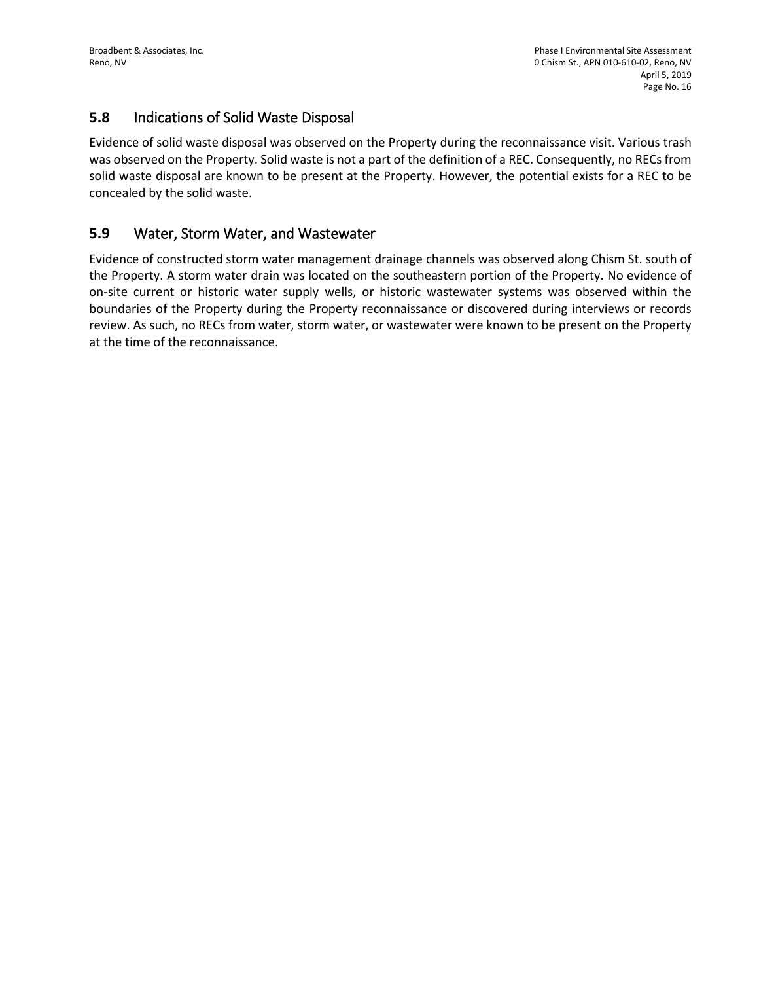## **5.8** Indications of Solid Waste Disposal

Evidence of solid waste disposal was observed on the Property during the reconnaissance visit. Various trash was observed on the Property. Solid waste is not a part of the definition of a REC. Consequently, no RECs from solid waste disposal are known to be present at the Property. However, the potential exists for a REC to be concealed by the solid waste.

# **5.9** Water, Storm Water, and Wastewater

Evidence of constructed storm water management drainage channels was observed along Chism St. south of the Property. A storm water drain was located on the southeastern portion of the Property. No evidence of on-site current or historic water supply wells, or historic wastewater systems was observed within the boundaries of the Property during the Property reconnaissance or discovered during interviews or records review. As such, no RECs from water, storm water, or wastewater were known to be present on the Property at the time of the reconnaissance.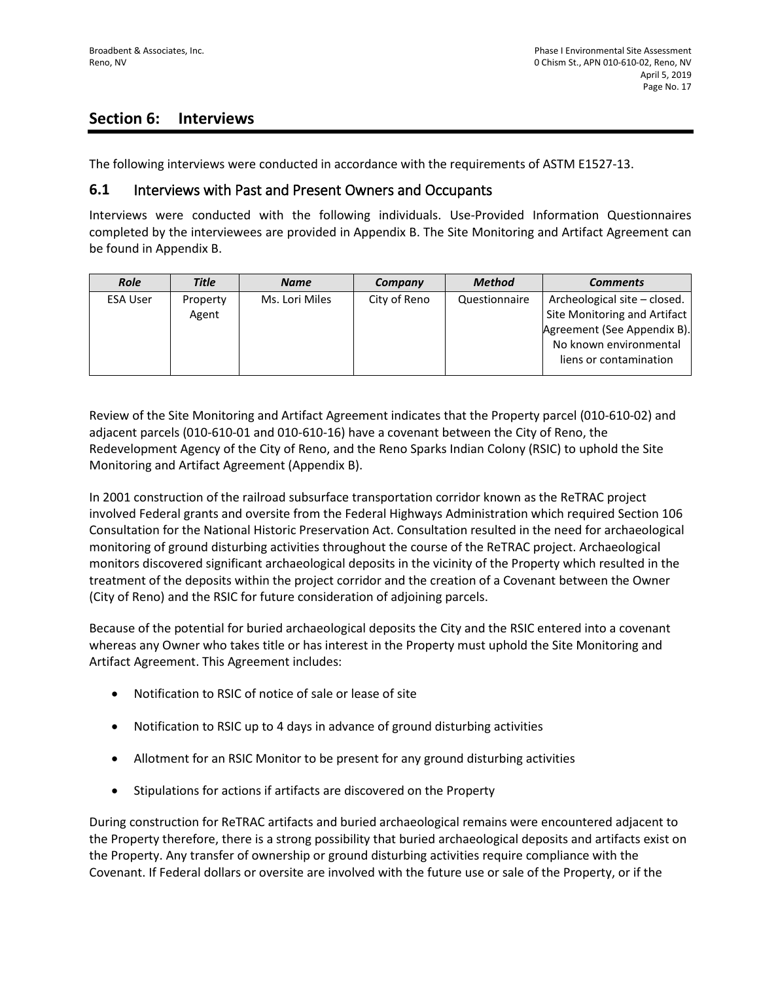# **Section 6: Interviews**

The following interviews were conducted in accordance with the requirements of ASTM E1527-13.

#### **6.1** Interviews with Past and Present Owners and Occupants

Interviews were conducted with the following individuals. Use-Provided Information Questionnaires completed by the interviewees are provided in Appendix B. The Site Monitoring and Artifact Agreement can be found in Appendix B.

| <b>Role</b>     | <b>Title</b> | <b>Name</b>    | Company      | <b>Method</b> | <b>Comments</b>              |
|-----------------|--------------|----------------|--------------|---------------|------------------------------|
| <b>ESA User</b> | Property     | Ms. Lori Miles | City of Reno | Questionnaire | Archeological site - closed. |
|                 | Agent        |                |              |               | Site Monitoring and Artifact |
|                 |              |                |              |               | Agreement (See Appendix B).  |
|                 |              |                |              |               | No known environmental       |
|                 |              |                |              |               | liens or contamination       |
|                 |              |                |              |               |                              |

Review of the Site Monitoring and Artifact Agreement indicates that the Property parcel (010-610-02) and adjacent parcels (010-610-01 and 010-610-16) have a covenant between the City of Reno, the Redevelopment Agency of the City of Reno, and the Reno Sparks Indian Colony (RSIC) to uphold the Site Monitoring and Artifact Agreement (Appendix B).

In 2001 construction of the railroad subsurface transportation corridor known as the ReTRAC project involved Federal grants and oversite from the Federal Highways Administration which required Section 106 Consultation for the National Historic Preservation Act. Consultation resulted in the need for archaeological monitoring of ground disturbing activities throughout the course of the ReTRAC project. Archaeological monitors discovered significant archaeological deposits in the vicinity of the Property which resulted in the treatment of the deposits within the project corridor and the creation of a Covenant between the Owner (City of Reno) and the RSIC for future consideration of adjoining parcels.

Because of the potential for buried archaeological deposits the City and the RSIC entered into a covenant whereas any Owner who takes title or has interest in the Property must uphold the Site Monitoring and Artifact Agreement. This Agreement includes:

- Notification to RSIC of notice of sale or lease of site
- Notification to RSIC up to 4 days in advance of ground disturbing activities
- Allotment for an RSIC Monitor to be present for any ground disturbing activities
- Stipulations for actions if artifacts are discovered on the Property

During construction for ReTRAC artifacts and buried archaeological remains were encountered adjacent to the Property therefore, there is a strong possibility that buried archaeological deposits and artifacts exist on the Property. Any transfer of ownership or ground disturbing activities require compliance with the Covenant. If Federal dollars or oversite are involved with the future use or sale of the Property, or if the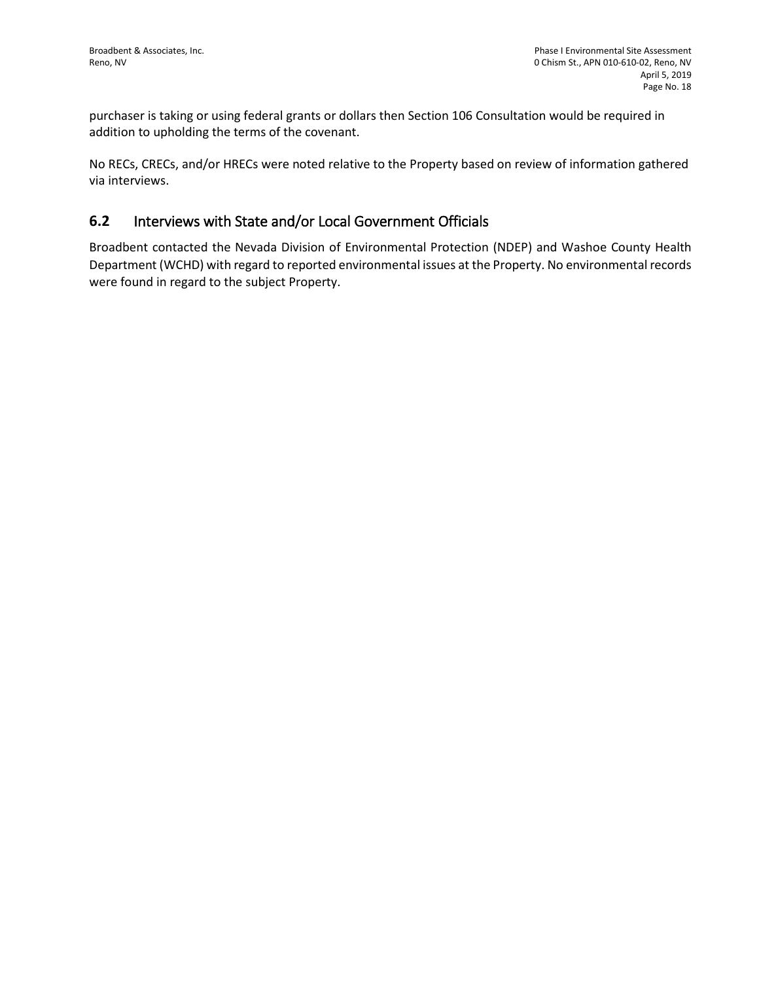purchaser is taking or using federal grants or dollars then Section 106 Consultation would be required in addition to upholding the terms of the covenant.

No RECs, CRECs, and/or HRECs were noted relative to the Property based on review of information gathered via interviews.

## **6.2** Interviews with State and/or Local Government Officials

Broadbent contacted the Nevada Division of Environmental Protection (NDEP) and Washoe County Health Department (WCHD) with regard to reported environmental issues at the Property. No environmental records were found in regard to the subject Property.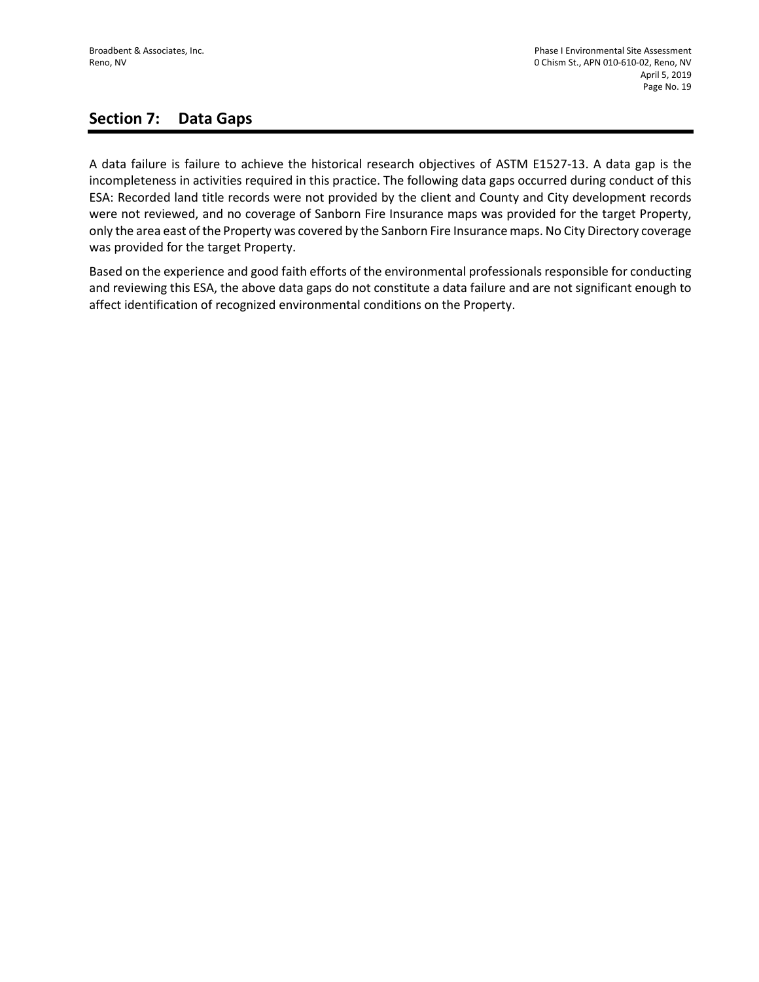# **Section 7: Data Gaps**

A data failure is failure to achieve the historical research objectives of ASTM E1527-13. A data gap is the incompleteness in activities required in this practice. The following data gaps occurred during conduct of this ESA: Recorded land title records were not provided by the client and County and City development records were not reviewed, and no coverage of Sanborn Fire Insurance maps was provided for the target Property, only the area east of the Property was covered by the Sanborn Fire Insurance maps. No City Directory coverage was provided for the target Property.

Based on the experience and good faith efforts of the environmental professionals responsible for conducting and reviewing this ESA, the above data gaps do not constitute a data failure and are not significant enough to affect identification of recognized environmental conditions on the Property.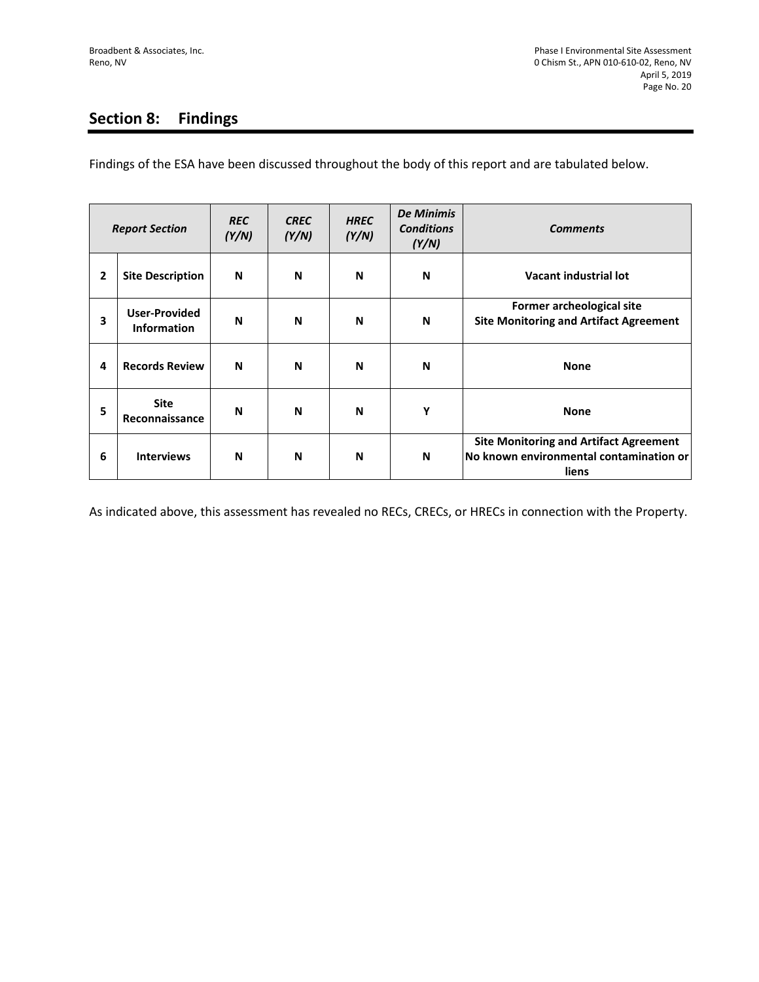# **Section 8: Findings**

Findings of the ESA have been discussed throughout the body of this report and are tabulated below.

| <b>Report Section</b> |                                            | <b>REC</b><br>(Y/N) | <b>CREC</b><br>(Y/N) | <b>HREC</b><br>(Y/N) | <b>De Minimis</b><br><b>Conditions</b><br>(Y/N) | <b>Comments</b>                                                                                   |
|-----------------------|--------------------------------------------|---------------------|----------------------|----------------------|-------------------------------------------------|---------------------------------------------------------------------------------------------------|
| 2                     | <b>Site Description</b>                    | N                   | N                    | N                    | N                                               | Vacant industrial lot                                                                             |
| 3                     | <b>User-Provided</b><br><b>Information</b> | N                   | N                    | N                    | N                                               | Former archeological site<br><b>Site Monitoring and Artifact Agreement</b>                        |
| 4                     | <b>Records Review</b>                      | N                   | N                    | N                    | N                                               | <b>None</b>                                                                                       |
| 5                     | <b>Site</b><br>Reconnaissance              | N                   | N                    | N                    | Υ                                               | <b>None</b>                                                                                       |
| 6                     | <b>Interviews</b>                          | N                   | N                    | N                    | N                                               | <b>Site Monitoring and Artifact Agreement</b><br>No known environmental contamination or<br>liens |

As indicated above, this assessment has revealed no RECs, CRECs, or HRECs in connection with the Property.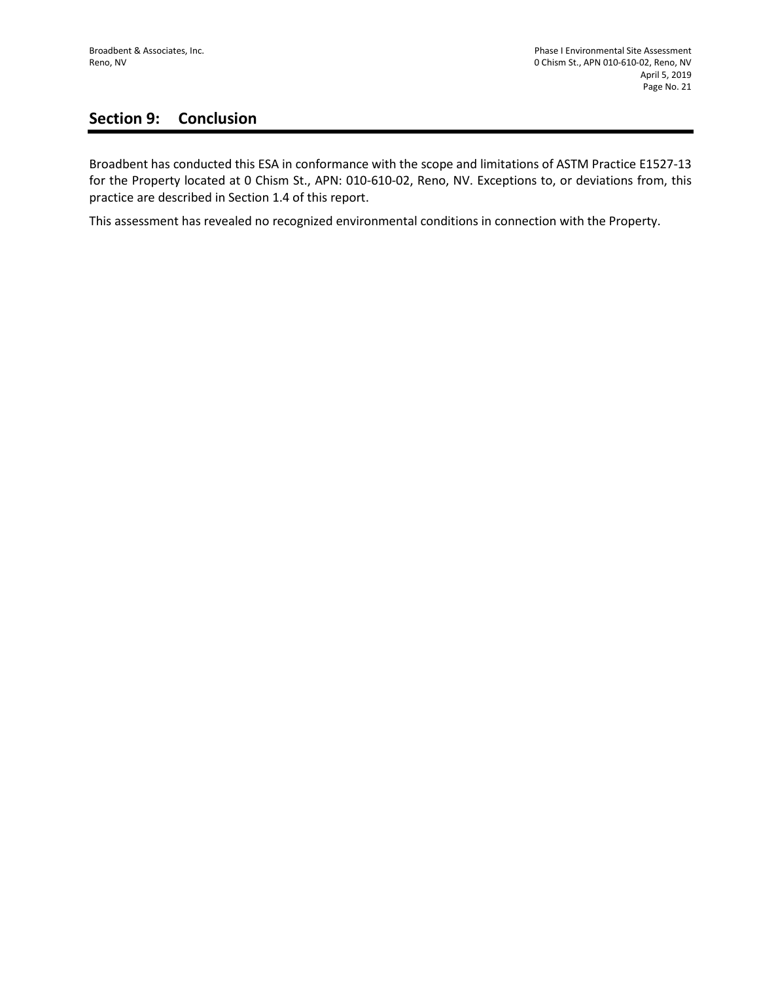# **Section 9: Conclusion**

Broadbent has conducted this ESA in conformance with the scope and limitations of ASTM Practice E1527-13 for the Property located at 0 Chism St., APN: 010-610-02, Reno, NV. Exceptions to, or deviations from, this practice are described in Section 1.4 of this report.

This assessment has revealed no recognized environmental conditions in connection with the Property.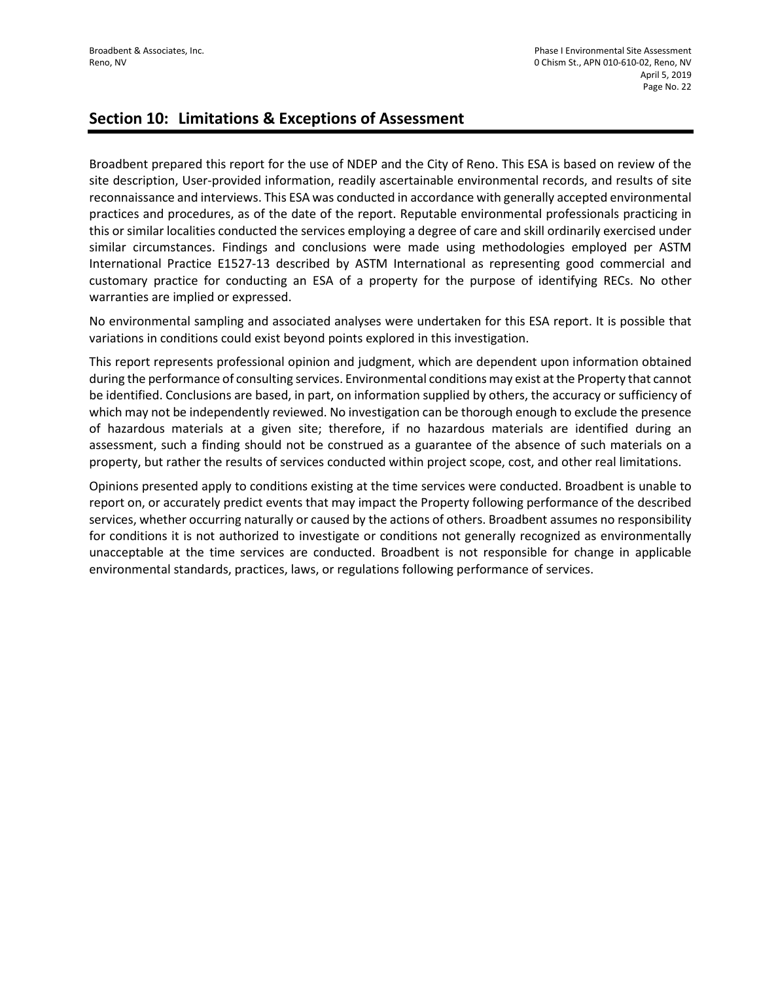# **Section 10: Limitations & Exceptions of Assessment**

Broadbent prepared this report for the use of NDEP and the City of Reno. This ESA is based on review of the site description, User-provided information, readily ascertainable environmental records, and results of site reconnaissance and interviews. This ESA was conducted in accordance with generally accepted environmental practices and procedures, as of the date of the report. Reputable environmental professionals practicing in this or similar localities conducted the services employing a degree of care and skill ordinarily exercised under similar circumstances. Findings and conclusions were made using methodologies employed per ASTM International Practice E1527-13 described by ASTM International as representing good commercial and customary practice for conducting an ESA of a property for the purpose of identifying RECs. No other warranties are implied or expressed.

No environmental sampling and associated analyses were undertaken for this ESA report. It is possible that variations in conditions could exist beyond points explored in this investigation.

This report represents professional opinion and judgment, which are dependent upon information obtained during the performance of consulting services. Environmental conditions may exist at the Property that cannot be identified. Conclusions are based, in part, on information supplied by others, the accuracy or sufficiency of which may not be independently reviewed. No investigation can be thorough enough to exclude the presence of hazardous materials at a given site; therefore, if no hazardous materials are identified during an assessment, such a finding should not be construed as a guarantee of the absence of such materials on a property, but rather the results of services conducted within project scope, cost, and other real limitations.

Opinions presented apply to conditions existing at the time services were conducted. Broadbent is unable to report on, or accurately predict events that may impact the Property following performance of the described services, whether occurring naturally or caused by the actions of others. Broadbent assumes no responsibility for conditions it is not authorized to investigate or conditions not generally recognized as environmentally unacceptable at the time services are conducted. Broadbent is not responsible for change in applicable environmental standards, practices, laws, or regulations following performance of services.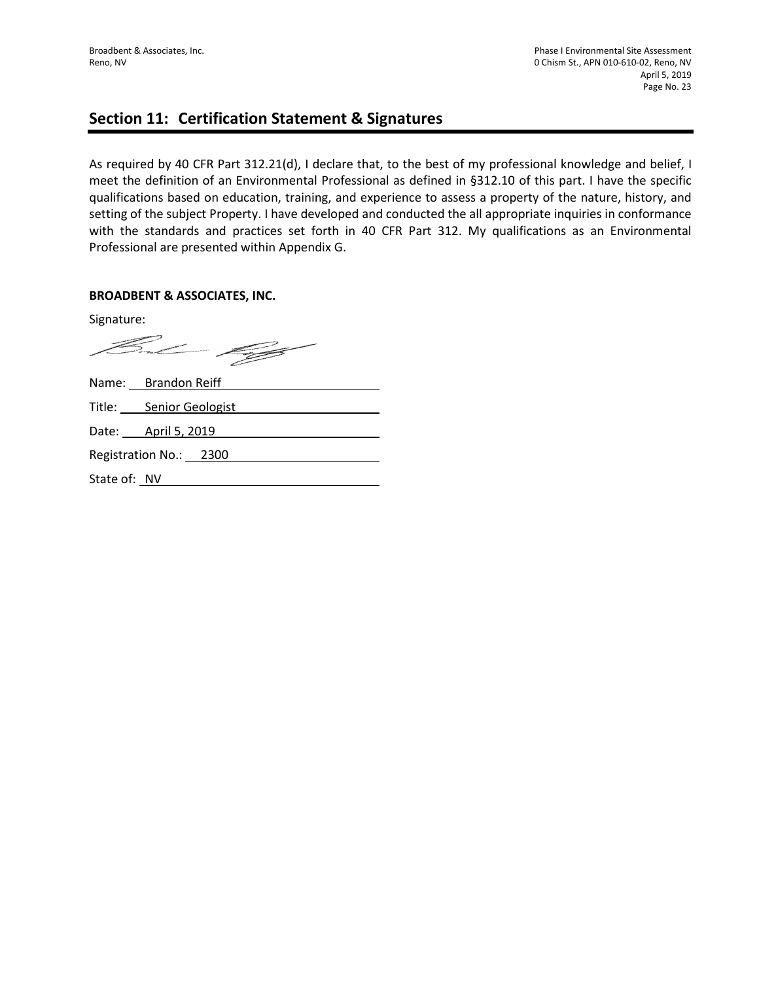# **Section 11: Certification Statement & Signatures**

As required by 40 CFR Part 312.21(d), I declare that, to the best of my professional knowledge and belief, I meet the definition of an Environmental Professional as defined in §312.10 of this part. I have the specific qualifications based on education, training, and experience to assess a property of the nature, history, and setting of the subject Property. I have developed and conducted the all appropriate inquiries in conformance with the standards and practices set forth in 40 CFR Part 312. My qualifications as an Environmental Professional are presented within Appendix G.

#### **BROADBENT & ASSOCIATES, INC.**

Signature:

Fred C <u> Communication and the second second in the second second second in the second second second in the second second second second second second second second second second second second second second second second second se</u>

Name: Brandon Reiff Title: Senior Geologist Date: <u>April 5, 2019</u> Registration No.: 2300 State of: NV